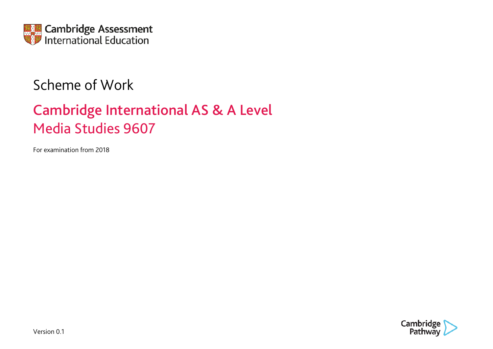

## Scheme of Work

# Cambridge International AS & A Level Media Studies 9607

For examination from 2018

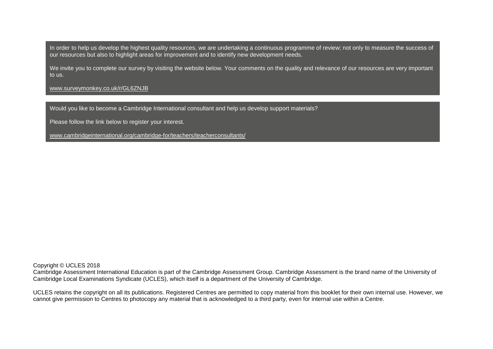In order to help us develop the highest quality resources, we are undertaking a continuous programme of review; not only to measure the success of our resources but also to highlight areas for improvement and to identify new development needs.

We invite you to complete our survey by visiting the website below. Your comments on the quality and relevance of our resources are very important to us.

[www.surveymonkey.co.uk/r/GL6ZNJB](http://www.surveymonkey.co.uk/r/GL6ZNJB)

Would you like to become a Cambridge International consultant and help us develop support materials?

Please follow the link below to register your interest.

[www.cambridgeinternational.org/cambridge-for/teachers/teacherconsultants/](http://www.cambridgeinternational.org/cambridge-for/teachers/teacherconsultants/)

Copyright © UCLES 2018

Cambridge Assessment International Education is part of the Cambridge Assessment Group. Cambridge Assessment is the brand name of the University of Cambridge Local Examinations Syndicate (UCLES), which itself is a department of the University of Cambridge.

UCLES retains the copyright on all its publications. Registered Centres are permitted to copy material from this booklet for their own internal use. However, we cannot give permission to Centres to photocopy any material that is acknowledged to a third party, even for internal use within a Centre.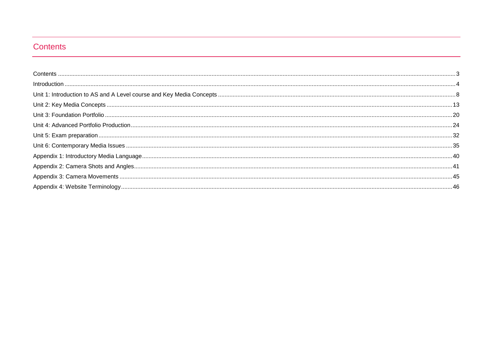#### <span id="page-2-0"></span>Contents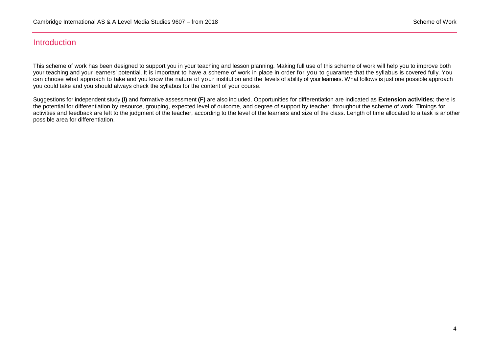#### <span id="page-3-0"></span>**Introduction**

This scheme of work has been designed to support you in your teaching and lesson planning. Making full use of this scheme of work will help you to improve both your teaching and your learners' potential. It is important to have a scheme of work in place in order for you to guarantee that the syllabus is covered fully. You can choose what approach to take and you know the nature of your institution and the levels of ability of your learners. What follows is just one possible approach you could take and you should always check the syllabus for the content of your course.

Suggestions for independent study **(I)** and formative assessment **(F)** are also included. Opportunities for differentiation are indicated as **Extension activities**; there is the potential for differentiation by resource, grouping, expected level of outcome, and degree of support by teacher, throughout the scheme of work. Timings for activities and feedback are left to the judgment of the teacher, according to the level of the learners and size of the class. Length of time allocated to a task is another possible area for differentiation.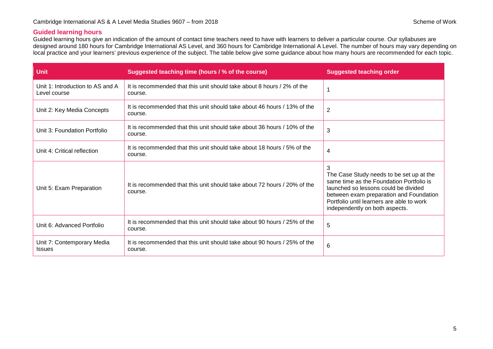#### **Guided learning hours**

Guided learning hours give an indication of the amount of contact time teachers need to have with learners to deliver a particular course. Our syllabuses are designed around 180 hours for Cambridge International AS Level, and 360 hours for Cambridge International A Level. The number of hours may vary depending on local practice and your learners' previous experience of the subject. The table below give some guidance about how many hours are recommended for each topic.

| <b>Unit</b>                                      | Suggested teaching time (hours / % of the course)                                   | <b>Suggested teaching order</b>                                                                                                                                                                                                                             |
|--------------------------------------------------|-------------------------------------------------------------------------------------|-------------------------------------------------------------------------------------------------------------------------------------------------------------------------------------------------------------------------------------------------------------|
| Unit 1: Introduction to AS and A<br>Level course | It is recommended that this unit should take about 8 hours / 2% of the<br>course.   |                                                                                                                                                                                                                                                             |
| Unit 2: Key Media Concepts                       | It is recommended that this unit should take about 46 hours / 13% of the<br>course. | $\overline{2}$                                                                                                                                                                                                                                              |
| Unit 3: Foundation Portfolio                     | It is recommended that this unit should take about 36 hours / 10% of the<br>course. | 3                                                                                                                                                                                                                                                           |
| Unit 4: Critical reflection                      | It is recommended that this unit should take about 18 hours / 5% of the<br>course.  | 4                                                                                                                                                                                                                                                           |
| Unit 5: Exam Preparation                         | It is recommended that this unit should take about 72 hours / 20% of the<br>course. | 3<br>The Case Study needs to be set up at the<br>same time as the Foundation Portfolio is<br>launched so lessons could be divided<br>between exam preparation and Foundation<br>Portfolio until learners are able to work<br>independently on both aspects. |
| Unit 6: Advanced Portfolio                       | It is recommended that this unit should take about 90 hours / 25% of the<br>course. | 5                                                                                                                                                                                                                                                           |
| Unit 7: Contemporary Media<br><b>Issues</b>      | It is recommended that this unit should take about 90 hours / 25% of the<br>course. | 6                                                                                                                                                                                                                                                           |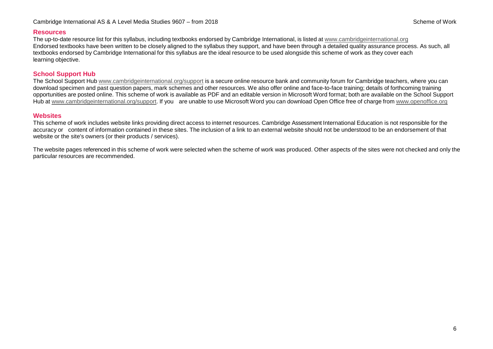#### Cambridge International AS & A Level Media Studies 9607 – from 2018 Scheme of Work Scheme of Work

#### **Resources**

The up-to-date resource list for this syllabus, including textbooks endorsed by Cambridge International, is listed at www.cambridgeinternational.org Endorsed textbooks have been written to be closely aligned to the syllabus they support, and have been through a detailed quality assurance process. As such, all textbooks endorsed by Cambridge International for this syllabus are the ideal resource to be used alongside this scheme of work as they cover each learning objective.

#### **School Support Hub**

The School Support Hub [www.cambridgeinternational.org/support](http://www.cambridgeinternational.org/support) is a secure online resource bank and community forum for Cambridge teachers, where you can download specimen and past question papers, mark schemes and other resources. We also offer online and face-to-face training; details of forthcoming training opportunities are posted online. This scheme of work is available as PDF and an editable version in Microsoft Word format; both are available on the School Support Hub at [www.cambridgeinternational.org/support.](http://www.cambridgeinternational.org/support.) If you are unable to use Microsoft Word you can download Open Office free of charge from [www.openoffice.org](http://www.openoffice.org/)

#### **Websites**

This scheme of work includes website links providing direct access to internet resources. Cambridge Assessment International Education is not responsible for the accuracy or content of information contained in these sites. The inclusion of a link to an external website should not be understood to be an endorsement of that website or the site's owners (or their products / services).

The website pages referenced in this scheme of work were selected when the scheme of work was produced. Other aspects of the sites were not checked and only the particular resources are recommended.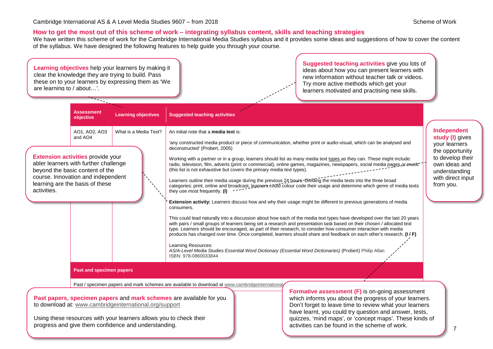#### **How to get the most out of this scheme of work – integrating syllabus content, skills and teaching strategies**

We have written this scheme of work for the Cambridge International Media Studies syllabus and it provides some ideas and suggestions of how to cover the content of the syllabus. We have designed the following features to help guide you through your course.

**Assessment objective Learning objectives Suggested teaching activities**  AO1, AO2, AO3 and AO4 What is a Media Text? An initial note that a **media text** is: 'any constructed media product or piece of communication, whether print or audio-visual, which can be analysed and deconstructed' (Probert, 2005) Working with a partner or in a group, learners should list as many media text types as they can. These might include: radio, television, film, adverts (print or commercial), online games, magazines, newspapers, social media pages or music (this list is not exhaustive but covers the primary media text types). Learners outline their media usage during the previous 24 hours. Dividing the media texts into the three broad categories: print, online and broadcast, learners could colour code their usage and determine which genre of media texts they use most frequently. **(I) Extension activity:** Learners discuss how and why their usage might be different to previous generations of media consumers. This could lead naturally into a discussion about how each of the media text types have developed over the last 20 years with pairs / small groups of learners being set a research and presentation task based on their chosen / allocated text type. Learners should be encouraged, as part of their research, to consider how consumer interaction with media products has changed over time. Once completed, learners should share and feedback on each other's research. **(I / F)** Learning Resources: *AS/A-Level Media Studies Essential Word Dictionary (Essential Word Dictionaries)* (Probert) Philip Allan ISBN: 978-0860033844 **Past and specimen papers** Past / specimen papers and mark schemes are available to download at www.cambridgeinternational. **Learning objectives** help your learners by making it clear the knowledge they are trying to build. Pass these on to your learners by expressing them as 'We are learning to / about…'. **Extension activities** provide your abler learners with further challenge beyond the basic content of the course. Innovation and independent learning are the basis of these activities. **Past papers, specimen papers** and **mark schemes** are available for you to download at: [www.cambridgeinternational.org/support](http://www.cambridgeinternational.org/support) **Formative assessment (F)** is on-going assessment which informs you about the progress of your learners. **Suggested teaching activities** give you lots of ideas about how you can present learners with new information without teacher talk or videos. Try more active methods which get your learners motivated and practising new skills. **Independent study (I)** gives your learners the opportunity to develop their own ideas and understanding with direct input from you.

Using these resources with your learners allows you to check their progress and give them confidence and understanding.

Don't forget to leave time to review what your learners have learnt, you could try question and answer, tests, quizzes, 'mind maps', or 'concept maps'. These kinds of activities can be found in the scheme of work.

7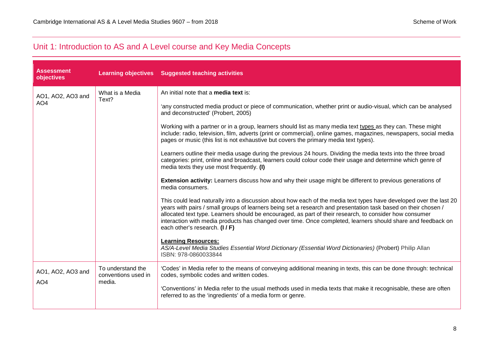### <span id="page-7-0"></span>Unit 1: Introduction to AS and A Level course and Key Media Concepts

| <b>Assessment</b><br>objectives      |                                                    | Learning objectives Suggested teaching activities                                                                                                                                                                                                                                                                                                                                                                                                                                                 |
|--------------------------------------|----------------------------------------------------|---------------------------------------------------------------------------------------------------------------------------------------------------------------------------------------------------------------------------------------------------------------------------------------------------------------------------------------------------------------------------------------------------------------------------------------------------------------------------------------------------|
| AO1, AO2, AO3 and                    | What is a Media                                    | An initial note that a <b>media text</b> is:                                                                                                                                                                                                                                                                                                                                                                                                                                                      |
| AO <sub>4</sub>                      | Text?                                              | 'any constructed media product or piece of communication, whether print or audio-visual, which can be analysed<br>and deconstructed' (Probert, 2005)                                                                                                                                                                                                                                                                                                                                              |
|                                      |                                                    | Working with a partner or in a group, learners should list as many media text types as they can. These might<br>include: radio, television, film, adverts (print or commercial), online games, magazines, newspapers, social media<br>pages or music (this list is not exhaustive but covers the primary media text types).                                                                                                                                                                       |
|                                      |                                                    | Learners outline their media usage during the previous 24 hours. Dividing the media texts into the three broad<br>categories: print, online and broadcast, learners could colour code their usage and determine which genre of<br>media texts they use most frequently. (I)                                                                                                                                                                                                                       |
|                                      |                                                    | Extension activity: Learners discuss how and why their usage might be different to previous generations of<br>media consumers.                                                                                                                                                                                                                                                                                                                                                                    |
|                                      |                                                    | This could lead naturally into a discussion about how each of the media text types have developed over the last 20<br>years with pairs / small groups of learners being set a research and presentation task based on their chosen /<br>allocated text type. Learners should be encouraged, as part of their research, to consider how consumer<br>interaction with media products has changed over time. Once completed, learners should share and feedback on<br>each other's research. (I / F) |
|                                      |                                                    | <b>Learning Resources:</b><br>AS/A-Level Media Studies Essential Word Dictionary (Essential Word Dictionaries) (Probert) Philip Allan<br>ISBN: 978-0860033844                                                                                                                                                                                                                                                                                                                                     |
| AO1, AO2, AO3 and<br>AO <sub>4</sub> | To understand the<br>conventions used in<br>media. | 'Codes' in Media refer to the means of conveying additional meaning in texts, this can be done through: technical<br>codes, symbolic codes and written codes.                                                                                                                                                                                                                                                                                                                                     |
|                                      |                                                    | 'Conventions' in Media refer to the usual methods used in media texts that make it recognisable, these are often<br>referred to as the 'ingredients' of a media form or genre.                                                                                                                                                                                                                                                                                                                    |
|                                      |                                                    |                                                                                                                                                                                                                                                                                                                                                                                                                                                                                                   |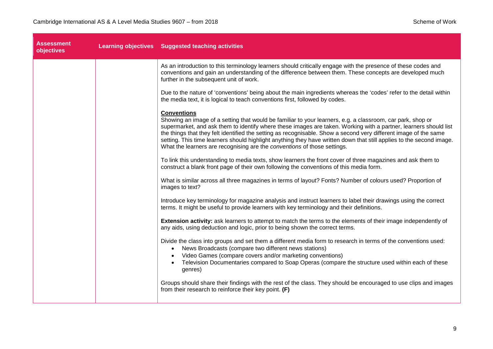| <b>Assessment</b><br>objectives | Learning objectives Suggested teaching activities                                                                                                                                                                                                                                                                                                                                                                                                                                                                                                                            |
|---------------------------------|------------------------------------------------------------------------------------------------------------------------------------------------------------------------------------------------------------------------------------------------------------------------------------------------------------------------------------------------------------------------------------------------------------------------------------------------------------------------------------------------------------------------------------------------------------------------------|
|                                 | As an introduction to this terminology learners should critically engage with the presence of these codes and<br>conventions and gain an understanding of the difference between them. These concepts are developed much<br>further in the subsequent unit of work.                                                                                                                                                                                                                                                                                                          |
|                                 | Due to the nature of 'conventions' being about the main ingredients whereas the 'codes' refer to the detail within<br>the media text, it is logical to teach conventions first, followed by codes.                                                                                                                                                                                                                                                                                                                                                                           |
|                                 | <b>Conventions</b><br>Showing an image of a setting that would be familiar to your learners, e.g. a classroom, car park, shop or<br>supermarket, and ask them to identify where these images are taken. Working with a partner, learners should list<br>the things that they felt identified the setting as recognisable. Show a second very different image of the same<br>setting. This time learners should highlight anything they have written down that still applies to the second image.<br>What the learners are recognising are the conventions of those settings. |
|                                 | To link this understanding to media texts, show learners the front cover of three magazines and ask them to<br>construct a blank front page of their own following the conventions of this media form.                                                                                                                                                                                                                                                                                                                                                                       |
|                                 | What is similar across all three magazines in terms of layout? Fonts? Number of colours used? Proportion of<br>images to text?                                                                                                                                                                                                                                                                                                                                                                                                                                               |
|                                 | Introduce key terminology for magazine analysis and instruct learners to label their drawings using the correct<br>terms. It might be useful to provide learners with key terminology and their definitions.                                                                                                                                                                                                                                                                                                                                                                 |
|                                 | Extension activity: ask learners to attempt to match the terms to the elements of their image independently of<br>any aids, using deduction and logic, prior to being shown the correct terms.                                                                                                                                                                                                                                                                                                                                                                               |
|                                 | Divide the class into groups and set them a different media form to research in terms of the conventions used:<br>News Broadcasts (compare two different news stations)<br>$\bullet$<br>Video Games (compare covers and/or marketing conventions)<br>Television Documentaries compared to Soap Operas (compare the structure used within each of these<br>$\bullet$<br>genres)                                                                                                                                                                                               |
|                                 | Groups should share their findings with the rest of the class. They should be encouraged to use clips and images<br>from their research to reinforce their key point. (F)                                                                                                                                                                                                                                                                                                                                                                                                    |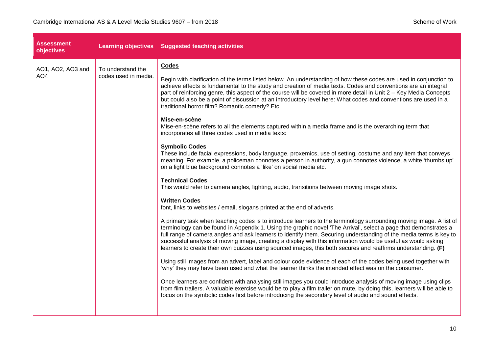| <b>Assessment</b><br>objectives      |                                           | Learning objectives Suggested teaching activities                                                                                                                                                                                                                                                                                                                                                                                                                                                                                                                                                                                                                                                                                                                                                                                                                                                                                                                                                                                                                                                                                                                                                                                                                                                                                                                                                                                                                                                                                                                                                                                                                                                                                                                                                                                                                                                                                                                                                                                                                                                                                                                                                                                                                                                                                                                                                                                                                         |
|--------------------------------------|-------------------------------------------|---------------------------------------------------------------------------------------------------------------------------------------------------------------------------------------------------------------------------------------------------------------------------------------------------------------------------------------------------------------------------------------------------------------------------------------------------------------------------------------------------------------------------------------------------------------------------------------------------------------------------------------------------------------------------------------------------------------------------------------------------------------------------------------------------------------------------------------------------------------------------------------------------------------------------------------------------------------------------------------------------------------------------------------------------------------------------------------------------------------------------------------------------------------------------------------------------------------------------------------------------------------------------------------------------------------------------------------------------------------------------------------------------------------------------------------------------------------------------------------------------------------------------------------------------------------------------------------------------------------------------------------------------------------------------------------------------------------------------------------------------------------------------------------------------------------------------------------------------------------------------------------------------------------------------------------------------------------------------------------------------------------------------------------------------------------------------------------------------------------------------------------------------------------------------------------------------------------------------------------------------------------------------------------------------------------------------------------------------------------------------------------------------------------------------------------------------------------------------|
| AO1, AO2, AO3 and<br>AO <sub>4</sub> | To understand the<br>codes used in media. | Codes<br>Begin with clarification of the terms listed below. An understanding of how these codes are used in conjunction to<br>achieve effects is fundamental to the study and creation of media texts. Codes and conventions are an integral<br>part of reinforcing genre, this aspect of the course will be covered in more detail in Unit 2 - Key Media Concepts<br>but could also be a point of discussion at an introductory level here: What codes and conventions are used in a<br>traditional horror film? Romantic comedy? Etc.<br>Mise-en-scène<br>Mise-en-scène refers to all the elements captured within a media frame and is the overarching term that<br>incorporates all three codes used in media texts:<br><b>Symbolic Codes</b><br>These include facial expressions, body language, proxemics, use of setting, costume and any item that conveys<br>meaning. For example, a policeman connotes a person in authority, a gun connotes violence, a white 'thumbs up'<br>on a light blue background connotes a 'like' on social media etc.<br><b>Technical Codes</b><br>This would refer to camera angles, lighting, audio, transitions between moving image shots.<br><b>Written Codes</b><br>font, links to websites / email, slogans printed at the end of adverts.<br>A primary task when teaching codes is to introduce learners to the terminology surrounding moving image. A list of<br>terminology can be found in Appendix 1. Using the graphic novel 'The Arrival', select a page that demonstrates a<br>full range of camera angles and ask learners to identify them. Securing understanding of the media terms is key to<br>successful analysis of moving image, creating a display with this information would be useful as would asking<br>learners to create their own quizzes using sourced images, this both secures and reaffirms understanding. (F)<br>Using still images from an advert, label and colour code evidence of each of the codes being used together with<br>'why' they may have been used and what the learner thinks the intended effect was on the consumer.<br>Once learners are confident with analysing still images you could introduce analysis of moving image using clips<br>from film trailers. A valuable exercise would be to play a film trailer on mute, by doing this, learners will be able to<br>focus on the symbolic codes first before introducing the secondary level of audio and sound effects. |
|                                      |                                           |                                                                                                                                                                                                                                                                                                                                                                                                                                                                                                                                                                                                                                                                                                                                                                                                                                                                                                                                                                                                                                                                                                                                                                                                                                                                                                                                                                                                                                                                                                                                                                                                                                                                                                                                                                                                                                                                                                                                                                                                                                                                                                                                                                                                                                                                                                                                                                                                                                                                           |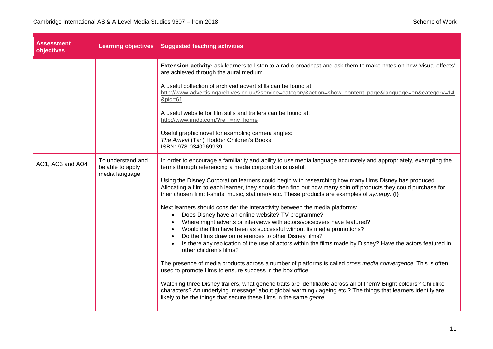|                                       | Learning objectives Suggested teaching activities                                                                                                                                                                                                                                                                            |
|---------------------------------------|------------------------------------------------------------------------------------------------------------------------------------------------------------------------------------------------------------------------------------------------------------------------------------------------------------------------------|
|                                       | Extension activity: ask learners to listen to a radio broadcast and ask them to make notes on how 'visual effects'<br>are achieved through the aural medium.                                                                                                                                                                 |
|                                       | A useful collection of archived advert stills can be found at:<br>http://www.advertisingarchives.co.uk/?service=category&action=show_content_page&language=en&category=14<br>$&$ pid=61                                                                                                                                      |
|                                       | A useful website for film stills and trailers can be found at:<br>http://www.imdb.com/?ref_=nv_home                                                                                                                                                                                                                          |
|                                       | Useful graphic novel for exampling camera angles:<br>The Arrival (Tan) Hodder Children's Books<br>ISBN: 978-0340969939                                                                                                                                                                                                       |
| To understand and<br>be able to apply | In order to encourage a familiarity and ability to use media language accurately and appropriately, exampling the<br>terms through referencing a media corporation is useful.                                                                                                                                                |
|                                       | Using the Disney Corporation learners could begin with researching how many films Disney has produced.<br>Allocating a film to each learner, they should then find out how many spin off products they could purchase for<br>their chosen film: t-shirts, music, stationery etc. These products are examples of synergy. (I) |
|                                       | Next learners should consider the interactivity between the media platforms:                                                                                                                                                                                                                                                 |
|                                       | Does Disney have an online website? TV programme?<br>$\bullet$                                                                                                                                                                                                                                                               |
|                                       | Where might adverts or interviews with actors/voiceovers have featured?<br>Would the film have been as successful without its media promotions?<br>$\bullet$                                                                                                                                                                 |
|                                       | Do the films draw on references to other Disney films?<br>$\bullet$                                                                                                                                                                                                                                                          |
|                                       | Is there any replication of the use of actors within the films made by Disney? Have the actors featured in<br>other children's films?                                                                                                                                                                                        |
|                                       | The presence of media products across a number of platforms is called cross media convergence. This is often<br>used to promote films to ensure success in the box office.                                                                                                                                                   |
|                                       | Watching three Disney trailers, what generic traits are identifiable across all of them? Bright colours? Childlike<br>characters? An underlying 'message' about global warming / ageing etc.? The things that learners identify are<br>likely to be the things that secure these films in the same genre.                    |
|                                       | media language                                                                                                                                                                                                                                                                                                               |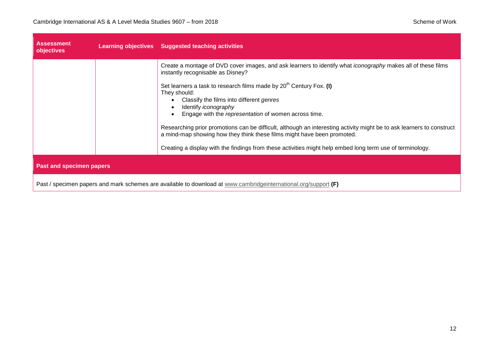| <b>Assessment</b><br>objectives |                                                                                                                 | Learning objectives Suggested teaching activities                                                                                                                                                                                                                                                                                                                                                                                                                                                                                                                                                                                                                                              |
|---------------------------------|-----------------------------------------------------------------------------------------------------------------|------------------------------------------------------------------------------------------------------------------------------------------------------------------------------------------------------------------------------------------------------------------------------------------------------------------------------------------------------------------------------------------------------------------------------------------------------------------------------------------------------------------------------------------------------------------------------------------------------------------------------------------------------------------------------------------------|
|                                 |                                                                                                                 | Create a montage of DVD cover images, and ask learners to identify what <i>iconography</i> makes all of these films<br>instantly recognisable as Disney?<br>Set learners a task to research films made by $20th$ Century Fox. (I)<br>They should:<br>Classify the films into different genres<br>Identify iconography<br>Engage with the representation of women across time.<br>Researching prior promotions can be difficult, although an interesting activity might be to ask learners to construct<br>a mind-map showing how they think these films might have been promoted.<br>Creating a display with the findings from these activities might help embed long term use of terminology. |
| <b>Past and specimen papers</b> |                                                                                                                 |                                                                                                                                                                                                                                                                                                                                                                                                                                                                                                                                                                                                                                                                                                |
|                                 | Past / specimen papers and mark schemes are available to download at www.cambridgeinternational.org/support (F) |                                                                                                                                                                                                                                                                                                                                                                                                                                                                                                                                                                                                                                                                                                |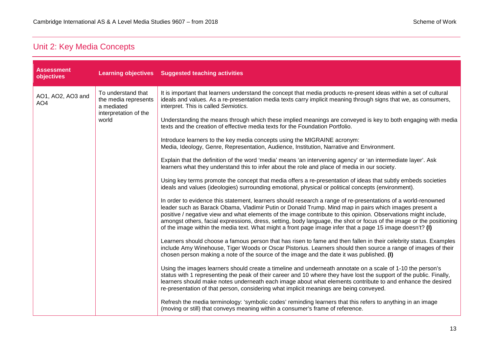### <span id="page-12-0"></span>Unit 2: Key Media Concepts

| <b>Assessment</b><br>objectives      |                                                                                                                                                                                                                                                                                                                                 | Learning objectives Suggested teaching activities                                                                                                                                                                                                                                                                                                                                                                                                                                                                                                                              |
|--------------------------------------|---------------------------------------------------------------------------------------------------------------------------------------------------------------------------------------------------------------------------------------------------------------------------------------------------------------------------------|--------------------------------------------------------------------------------------------------------------------------------------------------------------------------------------------------------------------------------------------------------------------------------------------------------------------------------------------------------------------------------------------------------------------------------------------------------------------------------------------------------------------------------------------------------------------------------|
| AO1, AO2, AO3 and<br>AO <sub>4</sub> | To understand that<br>the media represents<br>a mediated                                                                                                                                                                                                                                                                        | It is important that learners understand the concept that media products re-present ideas within a set of cultural<br>ideals and values. As a re-presentation media texts carry implicit meaning through signs that we, as consumers,<br>interpret. This is called Semiotics.                                                                                                                                                                                                                                                                                                  |
|                                      | interpretation of the<br>world                                                                                                                                                                                                                                                                                                  | Understanding the means through which these implied meanings are conveyed is key to both engaging with media<br>texts and the creation of effective media texts for the Foundation Portfolio.                                                                                                                                                                                                                                                                                                                                                                                  |
|                                      |                                                                                                                                                                                                                                                                                                                                 | Introduce learners to the key media concepts using the MIGRAINE acronym:<br>Media, Ideology, Genre, Representation, Audience, Institution, Narrative and Environment.                                                                                                                                                                                                                                                                                                                                                                                                          |
|                                      |                                                                                                                                                                                                                                                                                                                                 | Explain that the definition of the word 'media' means 'an intervening agency' or 'an intermediate layer'. Ask<br>learners what they understand this to infer about the role and place of media in our society.                                                                                                                                                                                                                                                                                                                                                                 |
|                                      |                                                                                                                                                                                                                                                                                                                                 | Using key terms promote the concept that media offers a re-presentation of ideas that subtly embeds societies<br>ideals and values (ideologies) surrounding emotional, physical or political concepts (environment).                                                                                                                                                                                                                                                                                                                                                           |
|                                      |                                                                                                                                                                                                                                                                                                                                 | In order to evidence this statement, learners should research a range of re-presentations of a world-renowned<br>leader such as Barack Obama, Vladimir Putin or Donald Trump. Mind map in pairs which images present a<br>positive / negative view and what elements of the image contribute to this opinion. Observations might include,<br>amongst others, facial expressions, dress, setting, body language, the shot or focus of the image or the positioning<br>of the image within the media text. What might a front page image infer that a page 15 image doesn't? (I) |
|                                      | Learners should choose a famous person that has risen to fame and then fallen in their celebrity status. Examples<br>include Amy Winehouse, Tiger Woods or Oscar Pistorius. Learners should then source a range of images of their<br>chosen person making a note of the source of the image and the date it was published. (I) |                                                                                                                                                                                                                                                                                                                                                                                                                                                                                                                                                                                |
|                                      |                                                                                                                                                                                                                                                                                                                                 | Using the images learners should create a timeline and underneath annotate on a scale of 1-10 the person's<br>status with 1 representing the peak of their career and 10 where they have lost the support of the public. Finally,<br>learners should make notes underneath each image about what elements contribute to and enhance the desired<br>re-presentation of that person, considering what implicit meanings are being conveyed.                                                                                                                                      |
|                                      |                                                                                                                                                                                                                                                                                                                                 | Refresh the media terminology: 'symbolic codes' reminding learners that this refers to anything in an image<br>(moving or still) that conveys meaning within a consumer's frame of reference.                                                                                                                                                                                                                                                                                                                                                                                  |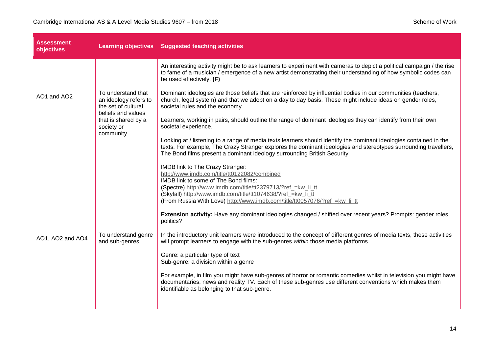| Assessment<br>objectives |                                                                                                                                             | <b>Learning objectives</b> Suggested teaching activities                                                                                                                                                                                                                                                                                                                                                                                                                                                                                                                                                                                                                                                                                                                                                                                                                                                                                                                                                                                                                                                                                                                                          |
|--------------------------|---------------------------------------------------------------------------------------------------------------------------------------------|---------------------------------------------------------------------------------------------------------------------------------------------------------------------------------------------------------------------------------------------------------------------------------------------------------------------------------------------------------------------------------------------------------------------------------------------------------------------------------------------------------------------------------------------------------------------------------------------------------------------------------------------------------------------------------------------------------------------------------------------------------------------------------------------------------------------------------------------------------------------------------------------------------------------------------------------------------------------------------------------------------------------------------------------------------------------------------------------------------------------------------------------------------------------------------------------------|
|                          |                                                                                                                                             | An interesting activity might be to ask learners to experiment with cameras to depict a political campaign / the rise<br>to fame of a musician / emergence of a new artist demonstrating their understanding of how symbolic codes can<br>be used effectively. (F)                                                                                                                                                                                                                                                                                                                                                                                                                                                                                                                                                                                                                                                                                                                                                                                                                                                                                                                                |
| AO1 and AO2              | To understand that<br>an ideology refers to<br>the set of cultural<br>beliefs and values<br>that is shared by a<br>society or<br>community. | Dominant ideologies are those beliefs that are reinforced by influential bodies in our communities (teachers,<br>church, legal system) and that we adopt on a day to day basis. These might include ideas on gender roles,<br>societal rules and the economy.<br>Learners, working in pairs, should outline the range of dominant ideologies they can identify from their own<br>societal experience.<br>Looking at / listening to a range of media texts learners should identify the dominant ideologies contained in the<br>texts. For example, The Crazy Stranger explores the dominant ideologies and stereotypes surrounding travellers,<br>The Bond films present a dominant ideology surrounding British Security.<br>IMDB link to The Crazy Stranger:<br>http://www.imdb.com/title/tt0122082/combined<br>IMDB link to some of The Bond films:<br>(Spectre) http://www.imdb.com/title/tt2379713/?ref_=kw_li_tt<br>(Skyfall) http://www.imdb.com/title/tt1074638/?ref_=kw_li_tt<br>(From Russia With Love) http://www.imdb.com/title/tt0057076/?ref_=kw_li_tt<br>Extension activity: Have any dominant ideologies changed / shifted over recent years? Prompts: gender roles,<br>politics? |
| AO1, AO2 and AO4         | To understand genre<br>and sub-genres                                                                                                       | In the introductory unit learners were introduced to the concept of different genres of media texts, these activities<br>will prompt learners to engage with the sub-genres within those media platforms.<br>Genre: a particular type of text<br>Sub-genre: a division within a genre<br>For example, in film you might have sub-genres of horror or romantic comedies whilst in television you might have<br>documentaries, news and reality TV. Each of these sub-genres use different conventions which makes them<br>identifiable as belonging to that sub-genre.                                                                                                                                                                                                                                                                                                                                                                                                                                                                                                                                                                                                                             |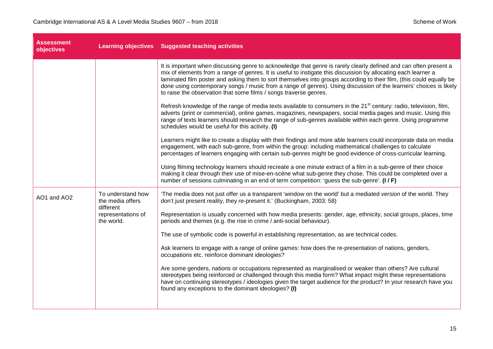| <b>Assessment</b><br>objectives |                                                    | Learning objectives Suggested teaching activities                                                                                                                                                                                                                                                                                                                                                                                                                                                                                                      |
|---------------------------------|----------------------------------------------------|--------------------------------------------------------------------------------------------------------------------------------------------------------------------------------------------------------------------------------------------------------------------------------------------------------------------------------------------------------------------------------------------------------------------------------------------------------------------------------------------------------------------------------------------------------|
|                                 |                                                    | It is important when discussing genre to acknowledge that genre is rarely clearly defined and can often present a<br>mix of elements from a range of genres. It is useful to instigate this discussion by allocating each learner a<br>laminated film poster and asking them to sort themselves into groups according to their film, (this could equally be<br>done using contemporary songs / music from a range of genres). Using discussion of the learners' choices is likely<br>to raise the observation that some films / songs traverse genres. |
|                                 |                                                    | Refresh knowledge of the range of media texts available to consumers in the 21 <sup>st</sup> century: radio, television, film,<br>adverts (print or commercial), online games, magazines, newspapers, social media pages and music. Using this<br>range of texts learners should research the range of sub-genres available within each genre. Using programme<br>schedules would be useful for this activity. (I)                                                                                                                                     |
|                                 |                                                    | Learners might like to create a display with their findings and more able learners could incorporate data on media<br>engagement, with each sub-genre, from within the group: including mathematical challenges to calculate<br>percentages of learners engaging with certain sub-genres might be good evidence of cross-curricular learning.                                                                                                                                                                                                          |
|                                 |                                                    | Using filming technology learners should recreate a one minute extract of a film in a sub-genre of their choice<br>making it clear through their use of mise-en-scène what sub-genre they chose. This could be completed over a<br>number of sessions culminating in an end of term competition: 'guess the sub-genre'. (I/F)                                                                                                                                                                                                                          |
| AO1 and AO2                     | To understand how<br>the media offers<br>different | 'The media does not just offer us a transparent 'window on the world' but a mediated version of the world. They<br>don't just present reality, they re-present it.' (Buckingham, 2003: 58)                                                                                                                                                                                                                                                                                                                                                             |
|                                 | representations of<br>the world.                   | Representation is usually concerned with how media presents: gender, age, ethnicity, social groups, places, time<br>periods and themes (e.g. the rise in crime / anti-social behaviour).                                                                                                                                                                                                                                                                                                                                                               |
|                                 |                                                    | The use of symbolic code is powerful in establishing representation, as are technical codes.                                                                                                                                                                                                                                                                                                                                                                                                                                                           |
|                                 |                                                    | Ask learners to engage with a range of online games: how does the re-presentation of nations, genders,<br>occupations etc. reinforce dominant ideologies?                                                                                                                                                                                                                                                                                                                                                                                              |
|                                 |                                                    | Are some genders, nations or occupations represented as marginalised or weaker than others? Are cultural<br>stereotypes being reinforced or challenged through this media form? What impact might these representations<br>have on continuing stereotypes / ideologies given the target audience for the product? In your research have you<br>found any exceptions to the dominant ideologies? (I)                                                                                                                                                    |
|                                 |                                                    |                                                                                                                                                                                                                                                                                                                                                                                                                                                                                                                                                        |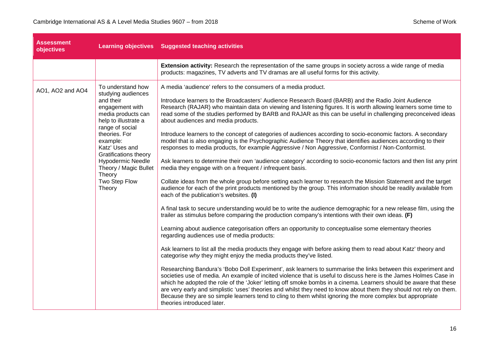| <b>Assessment</b><br>objectives |                                                                                                                                                                                                                                                                                                                   | Learning objectives Suggested teaching activities                                                                                                                                                                                                                                                                                                                                                                                                                                                                                                                                                                                                                                                                                                                                                                                                                                                                                                                                                                                                                                                                                                                                                                                                                                                                                                                                                                                                                                                                                                                                                                                                                                                                                                                                                                                                                                                                                                                                                                                                                                                                                                                                                                                                                                                                                                                                                                                                                      |
|---------------------------------|-------------------------------------------------------------------------------------------------------------------------------------------------------------------------------------------------------------------------------------------------------------------------------------------------------------------|------------------------------------------------------------------------------------------------------------------------------------------------------------------------------------------------------------------------------------------------------------------------------------------------------------------------------------------------------------------------------------------------------------------------------------------------------------------------------------------------------------------------------------------------------------------------------------------------------------------------------------------------------------------------------------------------------------------------------------------------------------------------------------------------------------------------------------------------------------------------------------------------------------------------------------------------------------------------------------------------------------------------------------------------------------------------------------------------------------------------------------------------------------------------------------------------------------------------------------------------------------------------------------------------------------------------------------------------------------------------------------------------------------------------------------------------------------------------------------------------------------------------------------------------------------------------------------------------------------------------------------------------------------------------------------------------------------------------------------------------------------------------------------------------------------------------------------------------------------------------------------------------------------------------------------------------------------------------------------------------------------------------------------------------------------------------------------------------------------------------------------------------------------------------------------------------------------------------------------------------------------------------------------------------------------------------------------------------------------------------------------------------------------------------------------------------------------------------|
|                                 |                                                                                                                                                                                                                                                                                                                   | Extension activity: Research the representation of the same groups in society across a wide range of media<br>products: magazines, TV adverts and TV dramas are all useful forms for this activity.                                                                                                                                                                                                                                                                                                                                                                                                                                                                                                                                                                                                                                                                                                                                                                                                                                                                                                                                                                                                                                                                                                                                                                                                                                                                                                                                                                                                                                                                                                                                                                                                                                                                                                                                                                                                                                                                                                                                                                                                                                                                                                                                                                                                                                                                    |
| AO1, AO2 and AO4                | To understand how<br>studying audiences<br>and their<br>engagement with<br>media products can<br>help to illustrate a<br>range of social<br>theories. For<br>example:<br>Katz' Uses and<br><b>Gratifications theory</b><br><b>Hypodermic Needle</b><br>Theory / Magic Bullet<br>Theory<br>Two Step Flow<br>Theory | A media 'audience' refers to the consumers of a media product.<br>Introduce learners to the Broadcasters' Audience Research Board (BARB) and the Radio Joint Audience<br>Research (RAJAR) who maintain data on viewing and listening figures. It is worth allowing learners some time to<br>read some of the studies performed by BARB and RAJAR as this can be useful in challenging preconceived ideas<br>about audiences and media products.<br>Introduce learners to the concept of categories of audiences according to socio-economic factors. A secondary<br>model that is also engaging is the Psychographic Audience Theory that identifies audiences according to their<br>responses to media products, for example Aggressive / Non Aggressive, Conformist / Non-Conformist.<br>Ask learners to determine their own 'audience category' according to socio-economic factors and then list any print<br>media they engage with on a frequent / infrequent basis.<br>Collate ideas from the whole group before setting each learner to research the Mission Statement and the target<br>audience for each of the print products mentioned by the group. This information should be readily available from<br>each of the publication's websites. (I)<br>A final task to secure understanding would be to write the audience demographic for a new release film, using the<br>trailer as stimulus before comparing the production company's intentions with their own ideas. (F)<br>Learning about audience categorisation offers an opportunity to conceptualise some elementary theories<br>regarding audiences use of media products:<br>Ask learners to list all the media products they engage with before asking them to read about Katz' theory and<br>categorise why they might enjoy the media products they've listed.<br>Researching Bandura's 'Bobo Doll Experiment', ask learners to summarise the links between this experiment and<br>societies use of media. An example of incited violence that is useful to discuss here is the James Holmes Case in<br>which he adopted the role of the 'Joker' letting off smoke bombs in a cinema. Learners should be aware that these<br>are very early and simplistic 'uses' theories and whilst they need to know about them they should not rely on them.<br>Because they are so simple learners tend to cling to them whilst ignoring the more complex but appropriate<br>theories introduced later. |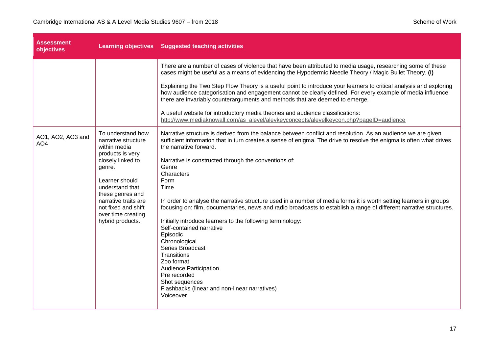| <b>Assessment</b><br>objectives      |                                                                                                   | Learning objectives Suggested teaching activities                                                                                                                                                                                                                                                                     |
|--------------------------------------|---------------------------------------------------------------------------------------------------|-----------------------------------------------------------------------------------------------------------------------------------------------------------------------------------------------------------------------------------------------------------------------------------------------------------------------|
|                                      |                                                                                                   | There are a number of cases of violence that have been attributed to media usage, researching some of these<br>cases might be useful as a means of evidencing the Hypodermic Needle Theory / Magic Bullet Theory. (I)                                                                                                 |
|                                      |                                                                                                   | Explaining the Two Step Flow Theory is a useful point to introduce your learners to critical analysis and exploring<br>how audience categorisation and engagement cannot be clearly defined. For every example of media influence<br>there are invariably counterarguments and methods that are deemed to emerge.     |
|                                      |                                                                                                   | A useful website for introductory media theories and audience classifications:<br>http://www.mediaknowall.com/as_alevel/alevkeyconcepts/alevelkeycon.php?pageID=audience                                                                                                                                              |
| AO1, AO2, AO3 and<br>AO <sub>4</sub> | To understand how<br>narrative structure<br>within media<br>products is very<br>closely linked to | Narrative structure is derived from the balance between conflict and resolution. As an audience we are given<br>sufficient information that in turn creates a sense of enigma. The drive to resolve the enigma is often what drives<br>the narrative forward.<br>Narrative is constructed through the conventions of: |
|                                      | genre.                                                                                            | Genre<br>Characters                                                                                                                                                                                                                                                                                                   |
|                                      | Learner should<br>understand that<br>these genres and                                             | Form<br>Time                                                                                                                                                                                                                                                                                                          |
|                                      | narrative traits are<br>not fixed and shift<br>over time creating                                 | In order to analyse the narrative structure used in a number of media forms it is worth setting learners in groups<br>focusing on: film, documentaries, news and radio broadcasts to establish a range of different narrative structures.                                                                             |
|                                      | hybrid products.                                                                                  | Initially introduce learners to the following terminology:<br>Self-contained narrative<br>Episodic                                                                                                                                                                                                                    |
|                                      |                                                                                                   | Chronological<br>Series Broadcast                                                                                                                                                                                                                                                                                     |
|                                      |                                                                                                   | Transitions<br>Zoo format                                                                                                                                                                                                                                                                                             |
|                                      |                                                                                                   | Audience Participation<br>Pre recorded                                                                                                                                                                                                                                                                                |
|                                      |                                                                                                   | Shot sequences<br>Flashbacks (linear and non-linear narratives)<br>Voiceover                                                                                                                                                                                                                                          |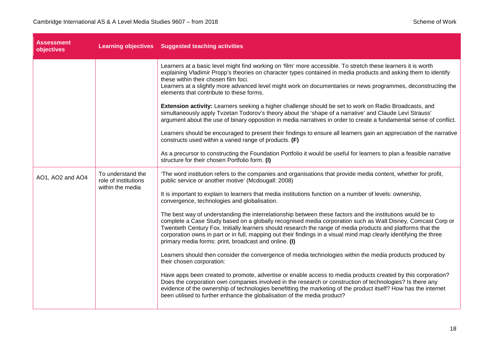| <b>Assessment</b><br>objectives |                                                               | Learning objectives Suggested teaching activities                                                                                                                                                                                                                                                                                                                                                                                                                                                                        |
|---------------------------------|---------------------------------------------------------------|--------------------------------------------------------------------------------------------------------------------------------------------------------------------------------------------------------------------------------------------------------------------------------------------------------------------------------------------------------------------------------------------------------------------------------------------------------------------------------------------------------------------------|
|                                 |                                                               | Learners at a basic level might find working on 'film' more accessible. To stretch these learners it is worth<br>explaining Vladimir Propp's theories on character types contained in media products and asking them to identify<br>these within their chosen film foci.<br>Learners at a slightly more advanced level might work on documentaries or news programmes, deconstructing the<br>elements that contribute to these forms.                                                                                    |
|                                 |                                                               | Extension activity: Learners seeking a higher challenge should be set to work on Radio Broadcasts, and<br>simultaneously apply Tvzetan Todorov's theory about the 'shape of a narrative' and Claude Levi Strauss'<br>argument about the use of binary opposition in media narratives in order to create a fundamental sense of conflict.                                                                                                                                                                                 |
|                                 |                                                               | Learners should be encouraged to present their findings to ensure all learners gain an appreciation of the narrative<br>constructs used within a varied range of products. (F)                                                                                                                                                                                                                                                                                                                                           |
|                                 |                                                               | As a precursor to constructing the Foundation Portfolio it would be useful for learners to plan a feasible narrative<br>structure for their chosen Portfolio form. (I)                                                                                                                                                                                                                                                                                                                                                   |
| AO1, AO2 and AO4                | To understand the<br>role of institutions<br>within the media | 'The word institution refers to the companies and organisations that provide media content, whether for profit,<br>public service or another motive' (Mcdougall: 2008)                                                                                                                                                                                                                                                                                                                                                   |
|                                 |                                                               | It is important to explain to learners that media institutions function on a number of levels: ownership,<br>convergence, technologies and globalisation.                                                                                                                                                                                                                                                                                                                                                                |
|                                 |                                                               | The best way of understanding the interrelationship between these factors and the institutions would be to<br>complete a Case Study based on a globally recognised media corporation such as Walt Disney, Comcast Corp or<br>Twentieth Century Fox. Initially learners should research the range of media products and platforms that the<br>corporation owns in part or in full, mapping out their findings in a visual mind map clearly identifying the three<br>primary media forms: print, broadcast and online. (I) |
|                                 |                                                               | Learners should then consider the convergence of media technologies within the media products produced by<br>their chosen corporation:                                                                                                                                                                                                                                                                                                                                                                                   |
|                                 |                                                               | Have apps been created to promote, advertise or enable access to media products created by this corporation?<br>Does the corporation own companies involved in the research or construction of technologies? Is there any<br>evidence of the ownership of technologies benefitting the marketing of the product itself? How has the internet<br>been utilised to further enhance the globalisation of the media product?                                                                                                 |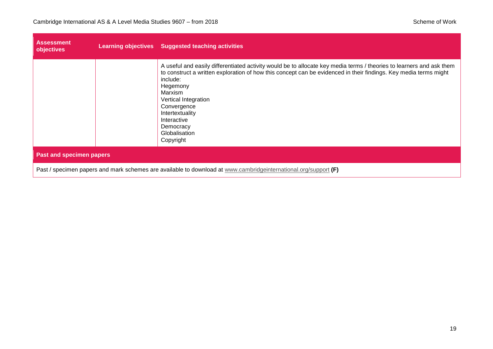| <b>Assessment</b><br>objectives                                                                                 |  | Learning objectives Suggested teaching activities                                                                                                                                                                                                                                                                                                                                               |
|-----------------------------------------------------------------------------------------------------------------|--|-------------------------------------------------------------------------------------------------------------------------------------------------------------------------------------------------------------------------------------------------------------------------------------------------------------------------------------------------------------------------------------------------|
|                                                                                                                 |  | A useful and easily differentiated activity would be to allocate key media terms / theories to learners and ask them<br>to construct a written exploration of how this concept can be evidenced in their findings. Key media terms might<br>include:<br>Hegemony<br>Marxism<br>Vertical Integration<br>Convergence<br>Intertextuality<br>Interactive<br>Democracy<br>Globalisation<br>Copyright |
| <b>Past and specimen papers</b>                                                                                 |  |                                                                                                                                                                                                                                                                                                                                                                                                 |
| Past / specimen papers and mark schemes are available to download at www.cambridgeinternational.org/support (F) |  |                                                                                                                                                                                                                                                                                                                                                                                                 |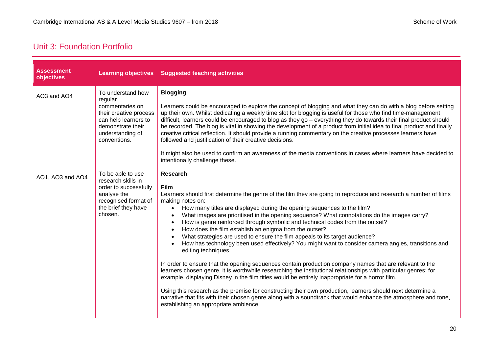#### <span id="page-19-0"></span>Unit 3: Foundation Portfolio

| <b>Assessment</b><br>objectives |                                                                                                                                                            | Learning objectives Suggested teaching activities                                                                                                                                                                                                                                                                                                                                                                                                                                                                                                                                                                                                                                                                                                                                                                                                                                                                                                                                                                                                                                                                                                                                                                                                                                                                                                                                                  |
|---------------------------------|------------------------------------------------------------------------------------------------------------------------------------------------------------|----------------------------------------------------------------------------------------------------------------------------------------------------------------------------------------------------------------------------------------------------------------------------------------------------------------------------------------------------------------------------------------------------------------------------------------------------------------------------------------------------------------------------------------------------------------------------------------------------------------------------------------------------------------------------------------------------------------------------------------------------------------------------------------------------------------------------------------------------------------------------------------------------------------------------------------------------------------------------------------------------------------------------------------------------------------------------------------------------------------------------------------------------------------------------------------------------------------------------------------------------------------------------------------------------------------------------------------------------------------------------------------------------|
| AO3 and AO4                     | To understand how<br>regular<br>commentaries on<br>their creative process<br>can help learners to<br>demonstrate their<br>understanding of<br>conventions. | <b>Blogging</b><br>Learners could be encouraged to explore the concept of blogging and what they can do with a blog before setting<br>up their own. Whilst dedicating a weekly time slot for blogging is useful for those who find time-management<br>difficult, learners could be encouraged to blog as they go - everything they do towards their final product should<br>be recorded. The blog is vital in showing the development of a product from initial idea to final product and finally<br>creative critical reflection. It should provide a running commentary on the creative processes learners have<br>followed and justification of their creative decisions.<br>It might also be used to confirm an awareness of the media conventions in cases where learners have decided to<br>intentionally challenge these.                                                                                                                                                                                                                                                                                                                                                                                                                                                                                                                                                                   |
| AO1, AO3 and AO4                | To be able to use<br>research skills in<br>order to successfully<br>analyse the<br>recognised format of<br>the brief they have<br>chosen.                  | <b>Research</b><br><b>Film</b><br>Learners should first determine the genre of the film they are going to reproduce and research a number of films<br>making notes on:<br>How many titles are displayed during the opening sequences to the film?<br>$\bullet$<br>What images are prioritised in the opening sequence? What connotations do the images carry?<br>$\bullet$<br>How is genre reinforced through symbolic and technical codes from the outset?<br>$\bullet$<br>How does the film establish an enigma from the outset?<br>$\bullet$<br>What strategies are used to ensure the film appeals to its target audience?<br>$\bullet$<br>How has technology been used effectively? You might want to consider camera angles, transitions and<br>$\bullet$<br>editing techniques.<br>In order to ensure that the opening sequences contain production company names that are relevant to the<br>learners chosen genre, it is worthwhile researching the institutional relationships with particular genres: for<br>example, displaying Disney in the film titles would be entirely inappropriate for a horror film.<br>Using this research as the premise for constructing their own production, learners should next determine a<br>narrative that fits with their chosen genre along with a soundtrack that would enhance the atmosphere and tone,<br>establishing an appropriate ambience. |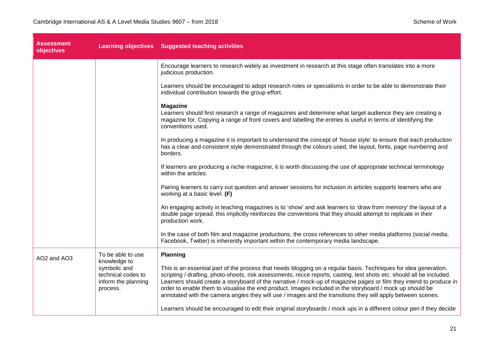| <b>Assessment</b><br>objectives |                                                                                                            | Learning objectives Suggested teaching activities                                                                                                                                                                                                                                                                                                                                                                                                                                                                                                                                          |
|---------------------------------|------------------------------------------------------------------------------------------------------------|--------------------------------------------------------------------------------------------------------------------------------------------------------------------------------------------------------------------------------------------------------------------------------------------------------------------------------------------------------------------------------------------------------------------------------------------------------------------------------------------------------------------------------------------------------------------------------------------|
|                                 |                                                                                                            | Encourage learners to research widely as investment in research at this stage often translates into a more<br>judicious production.                                                                                                                                                                                                                                                                                                                                                                                                                                                        |
|                                 |                                                                                                            | Learners should be encouraged to adopt research roles or specialisms in order to be able to demonstrate their<br>individual contribution towards the group effort.                                                                                                                                                                                                                                                                                                                                                                                                                         |
|                                 |                                                                                                            | <b>Magazine</b><br>Learners should first research a range of magazines and determine what target audience they are creating a<br>magazine for. Copying a range of front covers and labelling the entries is useful in terms of identifying the<br>conventions used.                                                                                                                                                                                                                                                                                                                        |
|                                 |                                                                                                            | In producing a magazine it is important to understand the concept of 'house style' to ensure that each production<br>has a clear and consistent style demonstrated through the colours used, the layout, fonts, page numbering and<br>borders.                                                                                                                                                                                                                                                                                                                                             |
|                                 |                                                                                                            | If learners are producing a niche magazine, it is worth discussing the use of appropriate technical terminology<br>within the articles.                                                                                                                                                                                                                                                                                                                                                                                                                                                    |
|                                 |                                                                                                            | Pairing learners to carry out question and answer sessions for inclusion in articles supports learners who are<br>working at a basic level. (F)                                                                                                                                                                                                                                                                                                                                                                                                                                            |
|                                 |                                                                                                            | An engaging activity in teaching magazines is to 'show' and ask learners to 'draw from memory' the layout of a<br>double page srpead, this implicitly reinforces the conventions that they should attempt to replicate in their<br>production work.                                                                                                                                                                                                                                                                                                                                        |
|                                 |                                                                                                            | In the case of both film and magazine productions, the cross references to other media platforms (social media,<br>Facebook, Twitter) is inherently important within the contemporary media landscape.                                                                                                                                                                                                                                                                                                                                                                                     |
| AO2 and AO3                     | To be able to use<br>knowledge to<br>symbolic and<br>technical codes to<br>inform the planning<br>process. | <b>Planning</b>                                                                                                                                                                                                                                                                                                                                                                                                                                                                                                                                                                            |
|                                 |                                                                                                            | This is an essential part of the process that needs blogging on a regular basis. Techniques for idea generation,<br>scripting / drafting, photo-shoots, risk assessments, recce reports, casting, test shots etc. should all be included.<br>Learners should create a storyboard of the narrative / mock-up of magazine pages or film they intend to produce in<br>order to enable them to visualise the end product. Images included in the storyboard / mock up should be<br>annotated with the camera angles they will use / images and the transitions they will apply between scenes. |
|                                 |                                                                                                            | Learners should be encouraged to edit their original storyboards / mock ups in a different colour pen if they decide                                                                                                                                                                                                                                                                                                                                                                                                                                                                       |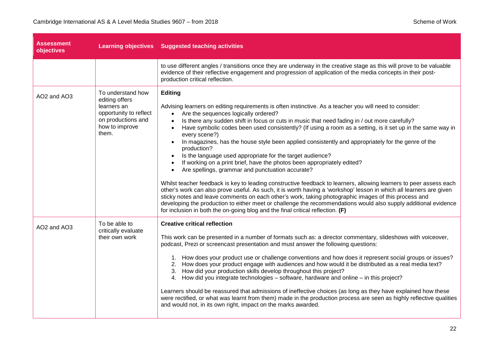| <b>Assessment</b><br>objectives |                                                                                                                               | Learning objectives Suggested teaching activities                                                                                                                                                                                                                                                                                                                                                                                                                                                                                                                                                                                                                                                                                                                                                                                                                                                                                                                                                                                                                                                                                                                                                                                                                                                                                      |
|---------------------------------|-------------------------------------------------------------------------------------------------------------------------------|----------------------------------------------------------------------------------------------------------------------------------------------------------------------------------------------------------------------------------------------------------------------------------------------------------------------------------------------------------------------------------------------------------------------------------------------------------------------------------------------------------------------------------------------------------------------------------------------------------------------------------------------------------------------------------------------------------------------------------------------------------------------------------------------------------------------------------------------------------------------------------------------------------------------------------------------------------------------------------------------------------------------------------------------------------------------------------------------------------------------------------------------------------------------------------------------------------------------------------------------------------------------------------------------------------------------------------------|
|                                 |                                                                                                                               | to use different angles / transitions once they are underway in the creative stage as this will prove to be valuable<br>evidence of their reflective engagement and progression of application of the media concepts in their post-<br>production critical reflection.                                                                                                                                                                                                                                                                                                                                                                                                                                                                                                                                                                                                                                                                                                                                                                                                                                                                                                                                                                                                                                                                 |
| AO2 and AO3                     | To understand how<br>editing offers<br>learners an<br>opportunity to reflect<br>on productions and<br>how to improve<br>them. | Editing<br>Advising learners on editing requirements is often instinctive. As a teacher you will need to consider:<br>Are the sequences logically ordered?<br>$\bullet$<br>Is there any sudden shift in focus or cuts in music that need fading in / out more carefully?<br>$\bullet$<br>Have symbolic codes been used consistently? (If using a room as a setting, is it set up in the same way in<br>$\bullet$<br>every scene?)<br>In magazines, has the house style been applied consistently and appropriately for the genre of the<br>production?<br>Is the language used appropriate for the target audience?<br>$\bullet$<br>If working on a print brief, have the photos been appropriately edited?<br>Are spellings, grammar and punctuation accurate?<br>$\bullet$<br>Whilst teacher feedback is key to leading constructive feedback to learners, allowing learners to peer assess each<br>other's work can also prove useful. As such, it is worth having a 'workshop' lesson in which all learners are given<br>sticky notes and leave comments on each other's work, taking photographic images of this process and<br>developing the production to either meet or challenge the recommendations would also supply additional evidence<br>for inclusion in both the on-going blog and the final critical reflection. (F) |
| AO2 and AO3                     | To be able to<br>critically evaluate<br>their own work                                                                        | <b>Creative critical reflection</b><br>This work can be presented in a number of formats such as: a director commentary, slideshows with voiceover,<br>podcast, Prezi or screencast presentation and must answer the following questions:<br>1. How does your product use or challenge conventions and how does it represent social groups or issues?<br>2. How does your product engage with audiences and how would it be distributed as a real media text?<br>3. How did your production skills develop throughout this project?<br>4. How did you integrate technologies - software, hardware and online - in this project?<br>Learners should be reassured that admissions of ineffective choices (as long as they have explained how these<br>were rectified, or what was learnt from them) made in the production process are seen as highly reflective qualities<br>and would not, in its own right, impact on the marks awarded.                                                                                                                                                                                                                                                                                                                                                                                              |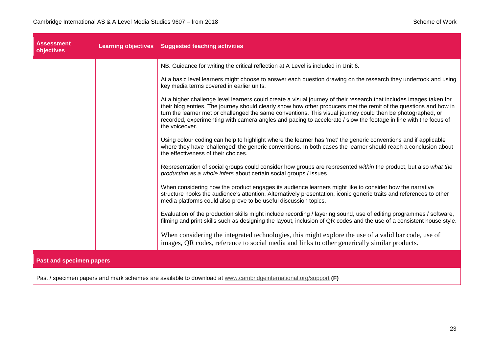| <b>Assessment</b><br>objectives | <b>Learning objectives</b> Suggested teaching activities                                                                                                                                                                                                                                                                                                                                                                                                                                      |
|---------------------------------|-----------------------------------------------------------------------------------------------------------------------------------------------------------------------------------------------------------------------------------------------------------------------------------------------------------------------------------------------------------------------------------------------------------------------------------------------------------------------------------------------|
|                                 | NB. Guidance for writing the critical reflection at A Level is included in Unit 6.                                                                                                                                                                                                                                                                                                                                                                                                            |
|                                 | At a basic level learners might choose to answer each question drawing on the research they undertook and using<br>key media terms covered in earlier units.                                                                                                                                                                                                                                                                                                                                  |
|                                 | At a higher challenge level learners could create a visual journey of their research that includes images taken for<br>their blog entries. The journey should clearly show how other producers met the remit of the questions and how in<br>turn the learner met or challenged the same conventions. This visual journey could then be photographed, or<br>recorded, experimenting with camera angles and pacing to accelerate / slow the footage in line with the focus of<br>the voiceover. |
|                                 | Using colour coding can help to highlight where the learner has 'met' the generic conventions and if applicable<br>where they have 'challenged' the generic conventions. In both cases the learner should reach a conclusion about<br>the effectiveness of their choices.                                                                                                                                                                                                                     |
|                                 | Representation of social groups could consider how groups are represented within the product, but also what the<br>production as a whole infers about certain social groups / issues.                                                                                                                                                                                                                                                                                                         |
|                                 | When considering how the product engages its audience learners might like to consider how the narrative<br>structure hooks the audience's attention. Alternatively presentation, iconic generic traits and references to other<br>media platforms could also prove to be useful discussion topics.                                                                                                                                                                                            |
|                                 | Evaluation of the production skills might include recording / layering sound, use of editing programmes / software,<br>filming and print skills such as designing the layout, inclusion of QR codes and the use of a consistent house style.                                                                                                                                                                                                                                                  |
|                                 | When considering the integrated technologies, this might explore the use of a valid bar code, use of<br>images, QR codes, reference to social media and links to other generically similar products.                                                                                                                                                                                                                                                                                          |
| <b>Past and specimen papers</b> |                                                                                                                                                                                                                                                                                                                                                                                                                                                                                               |
|                                 |                                                                                                                                                                                                                                                                                                                                                                                                                                                                                               |

Past / specimen papers and mark schemes are available to download at [www.cambridgeinternational.org/support](http://www.cambridgeinternational.org/support) **(F)**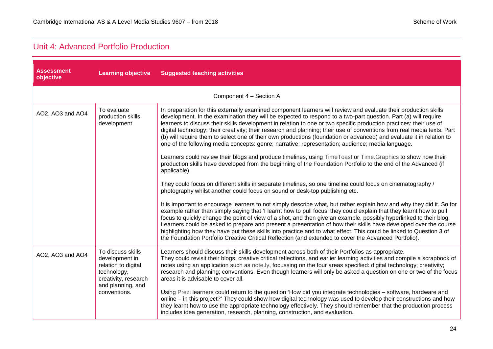#### <span id="page-23-0"></span>Unit 4: Advanced Portfolio Production

| <b>Assessment</b><br>objective | <b>Learning objective</b>                                                                                              | <b>Suggested teaching activities</b>                                                                                                                                                                                                                                                                                                                                                                                                                                                                                                                                                                                                                                                                                   |
|--------------------------------|------------------------------------------------------------------------------------------------------------------------|------------------------------------------------------------------------------------------------------------------------------------------------------------------------------------------------------------------------------------------------------------------------------------------------------------------------------------------------------------------------------------------------------------------------------------------------------------------------------------------------------------------------------------------------------------------------------------------------------------------------------------------------------------------------------------------------------------------------|
|                                |                                                                                                                        | Component 4 - Section A                                                                                                                                                                                                                                                                                                                                                                                                                                                                                                                                                                                                                                                                                                |
| AO2, AO3 and AO4               | To evaluate<br>production skills<br>development                                                                        | In preparation for this externally examined component learners will review and evaluate their production skills<br>development. In the examination they will be expected to respond to a two-part question. Part (a) will require<br>learners to discuss their skills development in relation to one or two specific production practices: their use of<br>digital technology; their creativity; their research and planning; their use of conventions from real media texts. Part<br>(b) will require them to select one of their own productions (foundation or advanced) and evaluate it in relation to<br>one of the following media concepts: genre; narrative; representation; audience; media language.         |
|                                |                                                                                                                        | Learners could review their blogs and produce timelines, using <b>TimeToast or Time.Graphics</b> to show how their<br>production skills have developed from the beginning of the Foundation Portfolio to the end of the Advanced (if<br>applicable).                                                                                                                                                                                                                                                                                                                                                                                                                                                                   |
|                                |                                                                                                                        | They could focus on different skills in separate timelines, so one timeline could focus on cinematography /<br>photography whilst another could focus on sound or desk-top publishing etc.                                                                                                                                                                                                                                                                                                                                                                                                                                                                                                                             |
|                                |                                                                                                                        | It is important to encourage learners to not simply describe what, but rather explain how and why they did it. So for<br>example rather than simply saying that 'I learnt how to pull focus' they could explain that they learnt how to pull<br>focus to quickly change the point of view of a shot, and then give an example, possibly hyperlinked to their blog.<br>Learners could be asked to prepare and present a presentation of how their skills have developed over the course<br>highlighting how they have put these skills into practice and to what effect. This could be linked to Question 3 of<br>the Foundation Portfolio Creative Critical Reflection (and extended to cover the Advanced Portfolio). |
| AO2, AO3 and AO4               | To discuss skills<br>development in<br>relation to digital<br>technology,<br>creativity, research<br>and planning, and | Learners should discuss their skills development across both of their Portfolios as appropriate.<br>They could revisit their blogs, creative critical reflections, and earlier learning activities and compile a scrapbook of<br>notes using an application such as note.ly, focussing on the four areas specified: digital technology; creativity;<br>research and planning; conventions. Even though learners will only be asked a question on one or two of the focus<br>areas it is advisable to cover all.                                                                                                                                                                                                        |
|                                | conventions.                                                                                                           | Using Prezi learners could return to the question 'How did you integrate technologies – software, hardware and<br>online – in this project?' They could show how digital technology was used to develop their constructions and how<br>they learnt how to use the appropriate technology effectively. They should remember that the production process<br>includes idea generation, research, planning, construction, and evaluation.                                                                                                                                                                                                                                                                                  |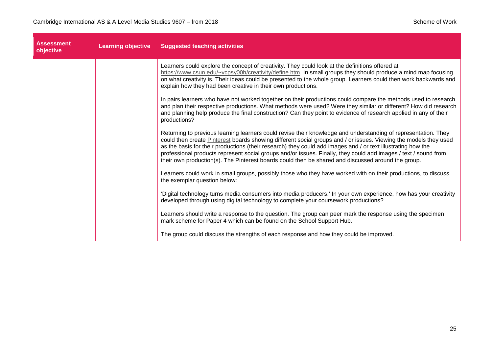| <b>Assessment</b><br>objective | <b>Learning objective</b> | <b>Suggested teaching activities</b>                                                                                                                                                                                                                                                                                                                                                                                                                                                                                                                                        |
|--------------------------------|---------------------------|-----------------------------------------------------------------------------------------------------------------------------------------------------------------------------------------------------------------------------------------------------------------------------------------------------------------------------------------------------------------------------------------------------------------------------------------------------------------------------------------------------------------------------------------------------------------------------|
|                                |                           | Learners could explore the concept of creativity. They could look at the definitions offered at<br>https://www.csun.edu/~vcpsy00h/creativity/define.htm. In small groups they should produce a mind map focusing<br>on what creativity is. Their ideas could be presented to the whole group. Learners could then work backwards and<br>explain how they had been creative in their own productions.                                                                                                                                                                        |
|                                |                           | In pairs learners who have not worked together on their productions could compare the methods used to research<br>and plan their respective productions. What methods were used? Were they similar or different? How did research<br>and planning help produce the final construction? Can they point to evidence of research applied in any of their<br>productions?                                                                                                                                                                                                       |
|                                |                           | Returning to previous learning learners could revise their knowledge and understanding of representation. They<br>could then create Pinterest boards showing different social groups and / or issues. Viewing the models they used<br>as the basis for their productions (their research) they could add images and / or text illustrating how the<br>professional products represent social groups and/or issues. Finally, they could add images / text / sound from<br>their own production(s). The Pinterest boards could then be shared and discussed around the group. |
|                                |                           | Learners could work in small groups, possibly those who they have worked with on their productions, to discuss<br>the exemplar question below:                                                                                                                                                                                                                                                                                                                                                                                                                              |
|                                |                           | 'Digital technology turns media consumers into media producers.' In your own experience, how has your creativity<br>developed through using digital technology to complete your coursework productions?                                                                                                                                                                                                                                                                                                                                                                     |
|                                |                           | Learners should write a response to the question. The group can peer mark the response using the specimen<br>mark scheme for Paper 4 which can be found on the School Support Hub.                                                                                                                                                                                                                                                                                                                                                                                          |
|                                |                           | The group could discuss the strengths of each response and how they could be improved.                                                                                                                                                                                                                                                                                                                                                                                                                                                                                      |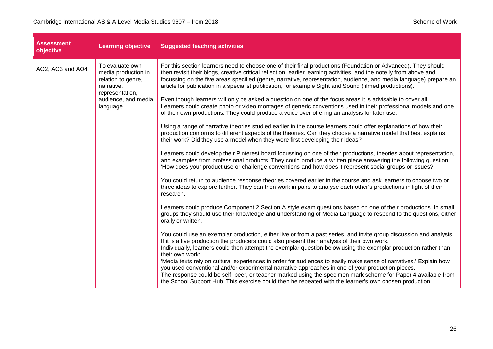| <b>Assessment</b><br>objective | <b>Learning objective</b>                                                                                                        | <b>Suggested teaching activities</b>                                                                                                                                                                                                                                                                                                                                                                                                                                                                                                                                                                                                                                                                                                                                                                                                                                                                                                                                                                                                                                                                                                                                                                                                                                                                                                                                                                                                                                                                                                                                                                                                                                                                                                                                                                                                                                                                                                                                                                                                                                                                                                                                                                                                                                                                                                                                                                                                                                                                                                                                                                                                                                                                                                                                                                        |
|--------------------------------|----------------------------------------------------------------------------------------------------------------------------------|-------------------------------------------------------------------------------------------------------------------------------------------------------------------------------------------------------------------------------------------------------------------------------------------------------------------------------------------------------------------------------------------------------------------------------------------------------------------------------------------------------------------------------------------------------------------------------------------------------------------------------------------------------------------------------------------------------------------------------------------------------------------------------------------------------------------------------------------------------------------------------------------------------------------------------------------------------------------------------------------------------------------------------------------------------------------------------------------------------------------------------------------------------------------------------------------------------------------------------------------------------------------------------------------------------------------------------------------------------------------------------------------------------------------------------------------------------------------------------------------------------------------------------------------------------------------------------------------------------------------------------------------------------------------------------------------------------------------------------------------------------------------------------------------------------------------------------------------------------------------------------------------------------------------------------------------------------------------------------------------------------------------------------------------------------------------------------------------------------------------------------------------------------------------------------------------------------------------------------------------------------------------------------------------------------------------------------------------------------------------------------------------------------------------------------------------------------------------------------------------------------------------------------------------------------------------------------------------------------------------------------------------------------------------------------------------------------------------------------------------------------------------------------------------------------------|
| AO2, AO3 and AO4               | To evaluate own<br>media production in<br>relation to genre,<br>narrative,<br>representation,<br>audience, and media<br>language | For this section learners need to choose one of their final productions (Foundation or Advanced). They should<br>then revisit their blogs, creative critical reflection, earlier learning activities, and the note.ly from above and<br>focussing on the five areas specified (genre, narrative, representation, audience, and media language) prepare an<br>article for publication in a specialist publication, for example Sight and Sound (filmed productions).<br>Even though learners will only be asked a question on one of the focus areas it is advisable to cover all.<br>Learners could create photo or video montages of generic conventions used in their professional models and one<br>of their own productions. They could produce a voice over offering an analysis for later use.<br>Using a range of narrative theories studied earlier in the course learners could offer explanations of how their<br>production conforms to different aspects of the theories. Can they choose a narrative model that best explains<br>their work? Did they use a model when they were first developing their ideas?<br>Learners could develop their Pinterest board focussing on one of their productions, theories about representation,<br>and examples from professional products. They could produce a written piece answering the following question:<br>'How does your product use or challenge conventions and how does it represent social groups or issues?'<br>You could return to audience response theories covered earlier in the course and ask learners to choose two or<br>three ideas to explore further. They can then work in pairs to analyse each other's productions in light of their<br>research.<br>Learners could produce Component 2 Section A style exam questions based on one of their productions. In small<br>groups they should use their knowledge and understanding of Media Language to respond to the questions, either<br>orally or written.<br>You could use an exemplar production, either live or from a past series, and invite group discussion and analysis.<br>If it is a live production the producers could also present their analysis of their own work.<br>Individually, learners could then attempt the exemplar question below using the exemplar production rather than<br>their own work:<br>'Media texts rely on cultural experiences in order for audiences to easily make sense of narratives.' Explain how<br>you used conventional and/or experimental narrative approaches in one of your production pieces.<br>The response could be self, peer, or teacher marked using the specimen mark scheme for Paper 4 available from<br>the School Support Hub. This exercise could then be repeated with the learner's own chosen production. |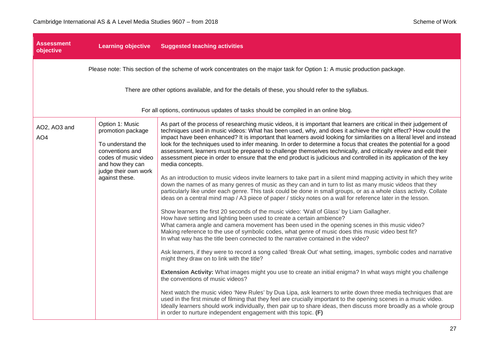| Assessment<br>objective         | <b>Learning objective</b>                                                                                                                                          | <b>Suggested teaching activities</b>                                                                                                                                                                                                                                                                                                                                                                                                                                                                                                                                                                                                                                                                                                                                                                                                                                                                                                                                                                                                                                                                                                                                                                                                                                                                                                                                                                                                                                                                                                                                                                                                                                                                                                                                                                                                                                                                                                                                                                                                                                                                                                                                                                                                                                                                                                                                                                                                                  |
|---------------------------------|--------------------------------------------------------------------------------------------------------------------------------------------------------------------|-------------------------------------------------------------------------------------------------------------------------------------------------------------------------------------------------------------------------------------------------------------------------------------------------------------------------------------------------------------------------------------------------------------------------------------------------------------------------------------------------------------------------------------------------------------------------------------------------------------------------------------------------------------------------------------------------------------------------------------------------------------------------------------------------------------------------------------------------------------------------------------------------------------------------------------------------------------------------------------------------------------------------------------------------------------------------------------------------------------------------------------------------------------------------------------------------------------------------------------------------------------------------------------------------------------------------------------------------------------------------------------------------------------------------------------------------------------------------------------------------------------------------------------------------------------------------------------------------------------------------------------------------------------------------------------------------------------------------------------------------------------------------------------------------------------------------------------------------------------------------------------------------------------------------------------------------------------------------------------------------------------------------------------------------------------------------------------------------------------------------------------------------------------------------------------------------------------------------------------------------------------------------------------------------------------------------------------------------------------------------------------------------------------------------------------------------------|
|                                 |                                                                                                                                                                    | Please note: This section of the scheme of work concentrates on the major task for Option 1: A music production package.                                                                                                                                                                                                                                                                                                                                                                                                                                                                                                                                                                                                                                                                                                                                                                                                                                                                                                                                                                                                                                                                                                                                                                                                                                                                                                                                                                                                                                                                                                                                                                                                                                                                                                                                                                                                                                                                                                                                                                                                                                                                                                                                                                                                                                                                                                                              |
|                                 |                                                                                                                                                                    | There are other options available, and for the details of these, you should refer to the syllabus.                                                                                                                                                                                                                                                                                                                                                                                                                                                                                                                                                                                                                                                                                                                                                                                                                                                                                                                                                                                                                                                                                                                                                                                                                                                                                                                                                                                                                                                                                                                                                                                                                                                                                                                                                                                                                                                                                                                                                                                                                                                                                                                                                                                                                                                                                                                                                    |
|                                 |                                                                                                                                                                    | For all options, continuous updates of tasks should be compiled in an online blog.                                                                                                                                                                                                                                                                                                                                                                                                                                                                                                                                                                                                                                                                                                                                                                                                                                                                                                                                                                                                                                                                                                                                                                                                                                                                                                                                                                                                                                                                                                                                                                                                                                                                                                                                                                                                                                                                                                                                                                                                                                                                                                                                                                                                                                                                                                                                                                    |
| AO2, AO3 and<br>AO <sub>4</sub> | Option 1: Music<br>promotion package<br>To understand the<br>conventions and<br>codes of music video<br>and how they can<br>judge their own work<br>against these. | As part of the process of researching music videos, it is important that learners are critical in their judgement of<br>techniques used in music videos: What has been used, why, and does it achieve the right effect? How could the<br>impact have been enhanced? It is important that learners avoid looking for similarities on a literal level and instead<br>look for the techniques used to infer meaning. In order to determine a focus that creates the potential for a good<br>assessment, learners must be prepared to challenge themselves technically, and critically review and edit their<br>assessment piece in order to ensure that the end product is judicious and controlled in its application of the key<br>media concepts.<br>As an introduction to music videos invite learners to take part in a silent mind mapping activity in which they write<br>down the names of as many genres of music as they can and in turn to list as many music videos that they<br>particularly like under each genre. This task could be done in small groups, or as a whole class activity. Collate<br>ideas on a central mind map / A3 piece of paper / sticky notes on a wall for reference later in the lesson.<br>Show learners the first 20 seconds of the music video: 'Wall of Glass' by Liam Gallagher.<br>How have setting and lighting been used to create a certain ambience?<br>What camera angle and camera movement has been used in the opening scenes in this music video?<br>Making reference to the use of symbolic codes, what genre of music does this music video best fit?<br>In what way has the title been connected to the narrative contained in the video?<br>Ask learners, if they were to record a song called 'Break Out' what setting, images, symbolic codes and narrative<br>might they draw on to link with the title?<br>Extension Activity: What images might you use to create an initial enigma? In what ways might you challenge<br>the conventions of music videos?<br>Next watch the music video 'New Rules' by Dua Lipa, ask learners to write down three media techniques that are<br>used in the first minute of filming that they feel are crucially important to the opening scenes in a music video.<br>Ideally learners should work individually, then pair up to share ideas, then discuss more broadly as a whole group<br>in order to nurture independent engagement with this topic. (F) |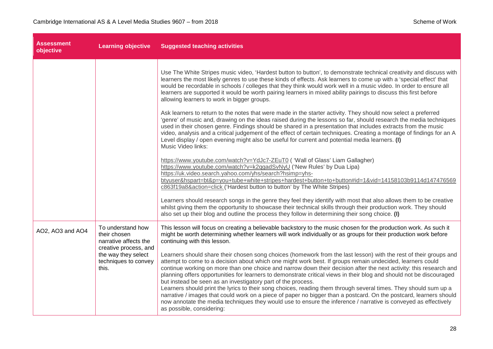| <b>Assessment</b><br>objective | <b>Learning objective</b>                                                                                                                   | <b>Suggested teaching activities</b>                                                                                                                                                                                                                                                                                                                                                                                                                                                                                                                                                                                                                                                                                                                                                                                                                                                                                                   |
|--------------------------------|---------------------------------------------------------------------------------------------------------------------------------------------|----------------------------------------------------------------------------------------------------------------------------------------------------------------------------------------------------------------------------------------------------------------------------------------------------------------------------------------------------------------------------------------------------------------------------------------------------------------------------------------------------------------------------------------------------------------------------------------------------------------------------------------------------------------------------------------------------------------------------------------------------------------------------------------------------------------------------------------------------------------------------------------------------------------------------------------|
|                                |                                                                                                                                             | Use The White Stripes music video, 'Hardest button to button', to demonstrate technical creativity and discuss with<br>learners the most likely genres to use these kinds of effects. Ask learners to come up with a 'special effect' that<br>would be recordable in schools / colleges that they think would work well in a music video. In order to ensure all<br>learners are supported it would be worth pairing learners in mixed ability pairings to discuss this first before<br>allowing learners to work in bigger groups.                                                                                                                                                                                                                                                                                                                                                                                                    |
|                                |                                                                                                                                             | Ask learners to return to the notes that were made in the starter activity. They should now select a preferred<br>'genre' of music and, drawing on the ideas raised during the lessons so far, should research the media techniques<br>used in their chosen genre. Findings should be shared in a presentation that includes extracts from the music<br>video, analysis and a critical judgement of the effect of certain techniques. Creating a montage of findings for an A<br>Level display / open evening might also be useful for current and potential media learners. (I)<br>Music Video links:                                                                                                                                                                                                                                                                                                                                 |
|                                |                                                                                                                                             | https://www.youtube.com/watch?v=YdJc7-ZEuT0 ('Wall of Glass' Liam Gallagher)<br>https://www.youtube.com/watch?v=k2qgadSvNyU ('New Rules' by Dua Lipa)<br>https://uk.video.search.yahoo.com/yhs/search?hsimp=yhs-<br>btyuser&hspart=bt&p=you+tube+white+stripes+hardest+button+to+button#id=1&vid=14158103b9114d147476569<br>c863f19a8&action=click ('Hardest button to button' by The White Stripes)                                                                                                                                                                                                                                                                                                                                                                                                                                                                                                                                   |
|                                |                                                                                                                                             | Learners should research songs in the genre they feel they identify with most that also allows them to be creative<br>whilst giving them the opportunity to showcase their technical skills through their production work. They should<br>also set up their blog and outline the process they follow in determining their song choice. (I)                                                                                                                                                                                                                                                                                                                                                                                                                                                                                                                                                                                             |
| AO2, AO3 and AO4               | To understand how<br>their chosen<br>narrative affects the<br>creative process, and<br>the way they select<br>techniques to convey<br>this. | This lesson will focus on creating a believable backstory to the music chosen for the production work. As such it<br>might be worth determining whether learners will work individually or as groups for their production work before<br>continuing with this lesson.                                                                                                                                                                                                                                                                                                                                                                                                                                                                                                                                                                                                                                                                  |
|                                |                                                                                                                                             | Learners should share their chosen song choices (homework from the last lesson) with the rest of their groups and<br>attempt to come to a decision about which one might work best. If groups remain undecided, learners could<br>continue working on more than one choice and narrow down their decision after the next activity: this research and<br>planning offers opportunities for learners to demonstrate critical views in their blog and should not be discouraged<br>but instead be seen as an investigatory part of the process.<br>Learners should print the lyrics to their song choices, reading them through several times. They should sum up a<br>narrative / images that could work on a piece of paper no bigger than a postcard. On the postcard, learners should<br>now annotate the media techniques they would use to ensure the inference / narrative is conveyed as effectively<br>as possible, considering: |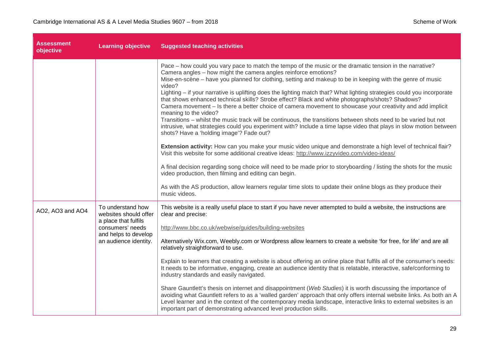| <b>Assessment</b><br>objective | <b>Learning objective</b>                                                                                                               | <b>Suggested teaching activities</b>                                                                                                                                                                                                                                                                                                                                                                                                                                                                                                                                                                                                                                                                                                                                                                                                                                                                                                                                                                                                                                                                                                                                                                                                                                                                                                                                                                                                                                                                 |
|--------------------------------|-----------------------------------------------------------------------------------------------------------------------------------------|------------------------------------------------------------------------------------------------------------------------------------------------------------------------------------------------------------------------------------------------------------------------------------------------------------------------------------------------------------------------------------------------------------------------------------------------------------------------------------------------------------------------------------------------------------------------------------------------------------------------------------------------------------------------------------------------------------------------------------------------------------------------------------------------------------------------------------------------------------------------------------------------------------------------------------------------------------------------------------------------------------------------------------------------------------------------------------------------------------------------------------------------------------------------------------------------------------------------------------------------------------------------------------------------------------------------------------------------------------------------------------------------------------------------------------------------------------------------------------------------------|
|                                |                                                                                                                                         | Pace – how could you vary pace to match the tempo of the music or the dramatic tension in the narrative?<br>Camera angles - how might the camera angles reinforce emotions?<br>Mise-en-scène – have you planned for clothing, setting and makeup to be in keeping with the genre of music<br>video?<br>Lighting – if your narrative is uplifting does the lighting match that? What lighting strategies could you incorporate<br>that shows enhanced technical skills? Strobe effect? Black and white photographs/shots? Shadows?<br>Camera movement - Is there a better choice of camera movement to showcase your creativity and add implicit<br>meaning to the video?<br>Transitions – whilst the music track will be continuous, the transitions between shots need to be varied but not<br>intrusive, what strategies could you experiment with? Include a time lapse video that plays in slow motion between<br>shots? Have a 'holding image'? Fade out?<br>Extension activity: How can you make your music video unique and demonstrate a high level of technical flair?<br>Visit this website for some additional creative ideas: http://www.izzyvideo.com/video-ideas/<br>A final decision regarding song choice will need to be made prior to storyboarding / listing the shots for the music<br>video production, then filming and editing can begin.<br>As with the AS production, allow learners regular time slots to update their online blogs as they produce their<br>music videos. |
| AO2, AO3 and AO4               | To understand how<br>websites should offer<br>a place that fulfils<br>consumers' needs<br>and helps to develop<br>an audience identity. | This website is a really useful place to start if you have never attempted to build a website, the instructions are<br>clear and precise:<br>http://www.bbc.co.uk/webwise/guides/building-websites<br>Alternatively Wix.com, Weebly.com or Wordpress allow learners to create a website 'for free, for life' and are all<br>relatively straightforward to use.<br>Explain to learners that creating a website is about offering an online place that fulfils all of the consumer's needs:<br>It needs to be informative, engaging, create an audience identity that is relatable, interactive, safe/conforming to<br>industry standards and easily navigated.<br>Share Gauntlett's thesis on internet and disappointment (Web Studies) it is worth discussing the importance of<br>avoiding what Gauntlett refers to as a 'walled garden' approach that only offers internal website links. As both an A<br>Level learner and in the context of the contemporary media landscape, interactive links to external websites is an<br>important part of demonstrating advanced level production skills.                                                                                                                                                                                                                                                                                                                                                                                                  |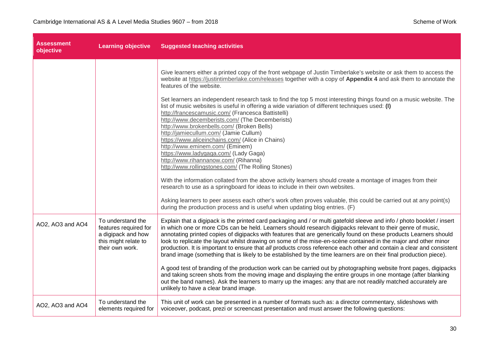| Assessment<br>objective | <b>Learning objective</b>                                                                                   | <b>Suggested teaching activities</b>                                                                                                                                                                                                                                                                                                                                                                                                                                                                                                                                                                                                                                                                                                                                                                                                                                                                                                                                                                                                                                                                                                                                                                                                                                                                                        |  |
|-------------------------|-------------------------------------------------------------------------------------------------------------|-----------------------------------------------------------------------------------------------------------------------------------------------------------------------------------------------------------------------------------------------------------------------------------------------------------------------------------------------------------------------------------------------------------------------------------------------------------------------------------------------------------------------------------------------------------------------------------------------------------------------------------------------------------------------------------------------------------------------------------------------------------------------------------------------------------------------------------------------------------------------------------------------------------------------------------------------------------------------------------------------------------------------------------------------------------------------------------------------------------------------------------------------------------------------------------------------------------------------------------------------------------------------------------------------------------------------------|--|
|                         |                                                                                                             | Give learners either a printed copy of the front webpage of Justin Timberlake's website or ask them to access the<br>website at https://justintimberlake.com/releases together with a copy of Appendix 4 and ask them to annotate the<br>features of the website.<br>Set learners an independent research task to find the top 5 most interesting things found on a music website. The<br>list of music websites is useful in offering a wide variation of different techniques used: (I)<br>http://francescamusic.com/ (Francesca Battistelli)<br>http://www.decemberists.com/ (The Decemberists)<br>http://www.brokenbells.com/ (Broken Bells)<br>http://jamiecullum.com/ (Jamie Cullum)<br>https://www.aliceinchains.com/ (Alice in Chains)<br>http://www.eminem.com/ (Eminem)<br>https://www.ladygaga.com/ (Lady Gaga)<br>http://www.rihannanow.com/ (Rihanna)<br>http://www.rollingstones.com/ (The Rolling Stones)<br>With the information collated from the above activity learners should create a montage of images from their<br>research to use as a springboard for ideas to include in their own websites.<br>Asking learners to peer assess each other's work often proves valuable, this could be carried out at any point(s)<br>during the production process and is useful when updating blog entries. (F) |  |
| AO2, AO3 and AO4        | To understand the<br>features required for<br>a digipack and how<br>this might relate to<br>their own work. | Explain that a digipack is the printed card packaging and / or multi gatefold sleeve and info / photo booklet / insert<br>in which one or more CDs can be held. Learners should research digipacks relevant to their genre of music,<br>annotating printed copies of digipacks with features that are generically found on these products Learners should<br>look to replicate the layout whilst drawing on some of the mise-en-scène contained in the major and other minor<br>production. It is important to ensure that all products cross reference each other and contain a clear and consistent<br>brand image (something that is likely to be established by the time learners are on their final production piece).<br>A good test of branding of the production work can be carried out by photographing website front pages, digipacks<br>and taking screen shots from the moving image and displaying the entire groups in one montage (after blanking<br>out the band names). Ask the learners to marry up the images: any that are not readily matched accurately are<br>unlikely to have a clear brand image.                                                                                                                                                                                                 |  |
| AO2, AO3 and AO4        | To understand the<br>elements required for                                                                  | This unit of work can be presented in a number of formats such as: a director commentary, slideshows with<br>voiceover, podcast, prezi or screencast presentation and must answer the following questions:                                                                                                                                                                                                                                                                                                                                                                                                                                                                                                                                                                                                                                                                                                                                                                                                                                                                                                                                                                                                                                                                                                                  |  |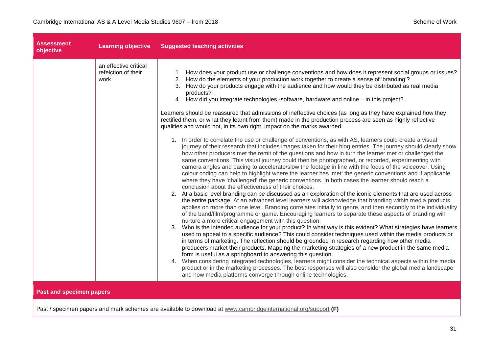| <b>Assessment</b><br>objective  | <b>Learning objective</b>                            | <b>Suggested teaching activities</b>                                                                                                                                                                                                                                                                                                                                                                                                                                                                                                                                                                                                                                                                                                                                                                                                                                                                                                                                                                                                                                                                                                                                                                                                                                                                                                                                                                                                                                                                                                                                                                                                                                                                                                                                                                                                                                                                                                                                                                                                                                                                                                                                                                                                                                                                                                                                                                                                                                                                                                                                                                                                                                                                                                                                                           |
|---------------------------------|------------------------------------------------------|------------------------------------------------------------------------------------------------------------------------------------------------------------------------------------------------------------------------------------------------------------------------------------------------------------------------------------------------------------------------------------------------------------------------------------------------------------------------------------------------------------------------------------------------------------------------------------------------------------------------------------------------------------------------------------------------------------------------------------------------------------------------------------------------------------------------------------------------------------------------------------------------------------------------------------------------------------------------------------------------------------------------------------------------------------------------------------------------------------------------------------------------------------------------------------------------------------------------------------------------------------------------------------------------------------------------------------------------------------------------------------------------------------------------------------------------------------------------------------------------------------------------------------------------------------------------------------------------------------------------------------------------------------------------------------------------------------------------------------------------------------------------------------------------------------------------------------------------------------------------------------------------------------------------------------------------------------------------------------------------------------------------------------------------------------------------------------------------------------------------------------------------------------------------------------------------------------------------------------------------------------------------------------------------------------------------------------------------------------------------------------------------------------------------------------------------------------------------------------------------------------------------------------------------------------------------------------------------------------------------------------------------------------------------------------------------------------------------------------------------------------------------------------------------|
|                                 | an effective critical<br>refelction of their<br>work | 1. How does your product use or challenge conventions and how does it represent social groups or issues?<br>2. How do the elements of your production work together to create a sense of 'branding'?<br>3. How do your products engage with the audience and how would they be distributed as real media<br>products?<br>4. How did you integrate technologies -software, hardware and online - in this project?<br>Learners should be reassured that admissions of ineffective choices (as long as they have explained how they<br>rectified them, or what they learnt from them) made in the production process are seen as highly reflective<br>qualities and would not, in its own right, impact on the marks awarded.<br>1. In order to correlate the use or challenge of conventions, as with AS, learners could create a visual<br>journey of their research that includes images taken for their blog entries. The journey should clearly show<br>how other producers met the remit of the questions and how in turn the learner met or challenged the<br>same conventions. This visual journey could then be photographed, or recorded, experimenting with<br>camera angles and pacing to accelerate/slow the footage in line with the focus of the voiceover. Using<br>colour coding can help to highlight where the learner has 'met' the generic conventions and if applicable<br>where they have 'challenged' the generic conventions. In both cases the learner should reach a<br>conclusion about the effectiveness of their choices.<br>2. At a basic level branding can be discussed as an exploration of the iconic elements that are used across<br>the entire package. At an advanced level learners will acknowledge that branding within media products<br>applies on more than one level. Branding correlates initially to genre, and then secondly to the individuality<br>of the band/film/programme or game. Encouraging learners to separate these aspects of branding will<br>nurture a more critical engagement with this question.<br>3. Who is the intended audience for your product? In what way is this evident? What strategies have learners<br>used to appeal to a specific audience? This could consider techniques used within the media products or<br>in terms of marketing. The reflection should be grounded in research regarding how other media<br>producers market their products. Mapping the marketing strategies of a new product in the same media<br>form is useful as a springboard to answering this question.<br>4. When considering integrated technologies, learners might consider the technical aspects within the media<br>product or in the marketing processes. The best responses will also consider the global media landscape |
| <b>Past and specimen papers</b> |                                                      | and how media platforms converge through online technologies.                                                                                                                                                                                                                                                                                                                                                                                                                                                                                                                                                                                                                                                                                                                                                                                                                                                                                                                                                                                                                                                                                                                                                                                                                                                                                                                                                                                                                                                                                                                                                                                                                                                                                                                                                                                                                                                                                                                                                                                                                                                                                                                                                                                                                                                                                                                                                                                                                                                                                                                                                                                                                                                                                                                                  |

Past / specimen papers and mark schemes are available to download at [www.cambridgeinternational.org/support](http://www.cambridgeinternational.org/support) **(F)**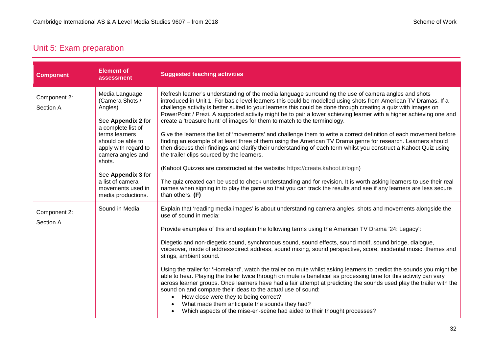### <span id="page-31-0"></span>Unit 5: Exam preparation

| <b>Component</b>          | <b>Element of</b><br>assessment                                                                                                                                                                                                                                             | <b>Suggested teaching activities</b>                                                                                                                                                                                                                                                                                                                                                                                                                                                                                                                                                                                                                                                                                                                                                                                                                                                                                                                                                                                                                                                                                                                                                                                                                                                                      |
|---------------------------|-----------------------------------------------------------------------------------------------------------------------------------------------------------------------------------------------------------------------------------------------------------------------------|-----------------------------------------------------------------------------------------------------------------------------------------------------------------------------------------------------------------------------------------------------------------------------------------------------------------------------------------------------------------------------------------------------------------------------------------------------------------------------------------------------------------------------------------------------------------------------------------------------------------------------------------------------------------------------------------------------------------------------------------------------------------------------------------------------------------------------------------------------------------------------------------------------------------------------------------------------------------------------------------------------------------------------------------------------------------------------------------------------------------------------------------------------------------------------------------------------------------------------------------------------------------------------------------------------------|
| Component 2:<br>Section A | Media Language<br>(Camera Shots /<br>Angles)<br>See Appendix 2 for<br>a complete list of<br>terms learners<br>should be able to<br>apply with regard to<br>camera angles and<br>shots.<br>See Appendix 3 for<br>a list of camera<br>movements used in<br>media productions. | Refresh learner's understanding of the media language surrounding the use of camera angles and shots<br>introduced in Unit 1. For basic level learners this could be modelled using shots from American TV Dramas. If a<br>challenge activity is better suited to your learners this could be done through creating a quiz with images on<br>PowerPoint / Prezi. A supported activity might be to pair a lower achieving learner with a higher achieving one and<br>create a 'treasure hunt' of images for them to match to the terminology.<br>Give the learners the list of 'movements' and challenge them to write a correct definition of each movement before<br>finding an example of at least three of them using the American TV Drama genre for research. Learners should<br>then discuss their findings and clarify their understanding of each term whilst you construct a Kahoot Quiz using<br>the trailer clips sourced by the learners.<br>(Kahoot Quizzes are constructed at the website: https://create.kahoot.it/login)<br>The quiz created can be used to check understanding and for revision. It is worth asking learners to use their real<br>names when signing in to play the game so that you can track the results and see if any learners are less secure<br>than others. $(F)$ |
| Component 2:<br>Section A | Sound in Media                                                                                                                                                                                                                                                              | Explain that 'reading media images' is about understanding camera angles, shots and movements alongside the<br>use of sound in media:<br>Provide examples of this and explain the following terms using the American TV Drama '24: Legacy':<br>Diegetic and non-diegetic sound, synchronous sound, sound effects, sound motif, sound bridge, dialogue,<br>voiceover, mode of address/direct address, sound mixing, sound perspective, score, incidental music, themes and<br>stings, ambient sound.<br>Using the trailer for 'Homeland', watch the trailer on mute whilst asking learners to predict the sounds you might be<br>able to hear. Playing the trailer twice through on mute is beneficial as processing time for this activity can vary<br>across learner groups. Once learners have had a fair attempt at predicting the sounds used play the trailer with the<br>sound on and compare their ideas to the actual use of sound:<br>How close were they to being correct?<br>$\bullet$<br>What made them anticipate the sounds they had?<br>Which aspects of the mise-en-scène had aided to their thought processes?<br>$\bullet$                                                                                                                                                              |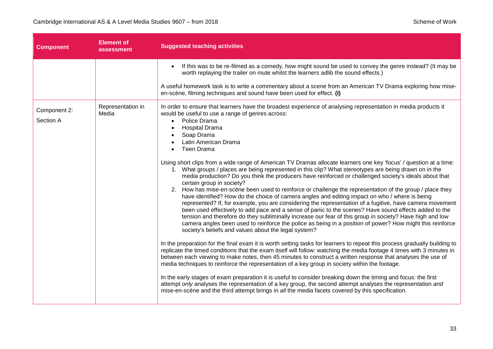| <b>Component</b>          | <b>Element of</b><br>assessment | <b>Suggested teaching activities</b>                                                                                                                                                                                                                                                                                                                                                                                                                                                                                                                                                                                                                                                                                                                                                                                                                                                                                                                                                                                                                                                                                                                                                                                                                                                                                                                                                                                                                                                                                                                                                                                                                                                                                                                                                                                                                                                                                                                                                                                                                                                                                                                                                                            |  |
|---------------------------|---------------------------------|-----------------------------------------------------------------------------------------------------------------------------------------------------------------------------------------------------------------------------------------------------------------------------------------------------------------------------------------------------------------------------------------------------------------------------------------------------------------------------------------------------------------------------------------------------------------------------------------------------------------------------------------------------------------------------------------------------------------------------------------------------------------------------------------------------------------------------------------------------------------------------------------------------------------------------------------------------------------------------------------------------------------------------------------------------------------------------------------------------------------------------------------------------------------------------------------------------------------------------------------------------------------------------------------------------------------------------------------------------------------------------------------------------------------------------------------------------------------------------------------------------------------------------------------------------------------------------------------------------------------------------------------------------------------------------------------------------------------------------------------------------------------------------------------------------------------------------------------------------------------------------------------------------------------------------------------------------------------------------------------------------------------------------------------------------------------------------------------------------------------------------------------------------------------------------------------------------------------|--|
|                           |                                 | If this was to be re-filmed as a comedy, how might sound be used to convey the genre instead? (It may be<br>$\bullet$<br>worth replaying the trailer on mute whilst the learners adlib the sound effects.)<br>A useful homework task is to write a commentary about a scene from an American TV Drama exploring how mise-<br>en-scène, filming techniques and sound have been used for effect. (I)                                                                                                                                                                                                                                                                                                                                                                                                                                                                                                                                                                                                                                                                                                                                                                                                                                                                                                                                                                                                                                                                                                                                                                                                                                                                                                                                                                                                                                                                                                                                                                                                                                                                                                                                                                                                              |  |
| Component 2:<br>Section A | Representation in<br>Media      | In order to ensure that learners have the broadest experience of analysing representation in media products it<br>would be useful to use a range of genres across:<br>Police Drama<br>$\bullet$<br><b>Hospital Drama</b><br>$\bullet$<br>Soap Drama<br>Latin American Drama<br>Teen Drama<br>$\bullet$<br>Using short clips from a wide range of American TV Dramas allocate learners one key 'focus' / question at a time:<br>1. What groups / places are being represented in this clip? What stereotypes are being drawn on in the<br>media production? Do you think the producers have reinforced or challenged society's ideals about that<br>certain group in society?<br>2. How has mise-en-scène been used to reinforce or challenge the representation of the group / place they<br>have identified? How do the choice of camera angles and editing impact on who / where is being<br>represented? If, for example, you are considering the representation of a fugitive, have camera movement<br>been used effectively to add pace and a sense of panic to the scenes? Have sound effects added to the<br>tension and therefore do they subliminally increase our fear of this group in society? Have high and low<br>camera angles been used to reinforce the police as being in a position of power? How might this reinforce<br>society's beliefs and values about the legal system?<br>In the preparation for the final exam it is worth setting tasks for learners to repeat this process gradually building to<br>replicate the timed conditions that the exam itself will follow: watching the media footage 4 times with 3 minutes in<br>between each viewing to make notes, then 45 minutes to construct a written response that analyses the use of<br>media techniques to reinforce the representation of a key group in society within the footage.<br>In the early stages of exam preparation it is useful to consider breaking down the timing and focus: the first<br>attempt only analyses the representation of a key group, the second attempt analyses the representation and<br>mise-en-scène and the third attempt brings in all the media facets covered by this specification. |  |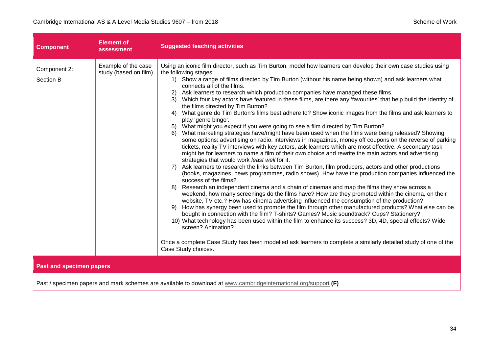| <b>Component</b>                                                                                                                                   | <b>Element of</b><br>assessment              | <b>Suggested teaching activities</b>                                                                                                                                                                                                                                                                                                                                                                                                                                                                                                                                                                                                                                                                                                                                                                                                                                                                                                                                                                                                                                                                                                                                                                                                                                                                                                                                                                                                                                                                                                                                                                                                                                                                                                                                                                                                                                                                                                                                                                                                                                                                                                                                                                                                                                                        |
|----------------------------------------------------------------------------------------------------------------------------------------------------|----------------------------------------------|---------------------------------------------------------------------------------------------------------------------------------------------------------------------------------------------------------------------------------------------------------------------------------------------------------------------------------------------------------------------------------------------------------------------------------------------------------------------------------------------------------------------------------------------------------------------------------------------------------------------------------------------------------------------------------------------------------------------------------------------------------------------------------------------------------------------------------------------------------------------------------------------------------------------------------------------------------------------------------------------------------------------------------------------------------------------------------------------------------------------------------------------------------------------------------------------------------------------------------------------------------------------------------------------------------------------------------------------------------------------------------------------------------------------------------------------------------------------------------------------------------------------------------------------------------------------------------------------------------------------------------------------------------------------------------------------------------------------------------------------------------------------------------------------------------------------------------------------------------------------------------------------------------------------------------------------------------------------------------------------------------------------------------------------------------------------------------------------------------------------------------------------------------------------------------------------------------------------------------------------------------------------------------------------|
| Component 2:<br>Section B                                                                                                                          | Example of the case<br>study (based on film) | Using an iconic film director, such as Tim Burton, model how learners can develop their own case studies using<br>the following stages:<br>1) Show a range of films directed by Tim Burton (without his name being shown) and ask learners what<br>connects all of the films.<br>Ask learners to research which production companies have managed these films.<br>2)<br>3) Which four key actors have featured in these films, are there any 'favourites' that help build the identity of<br>the films directed by Tim Burton?<br>What genre do Tim Burton's films best adhere to? Show iconic images from the films and ask learners to<br>4)<br>play 'genre bingo'.<br>What might you expect if you were going to see a film directed by Tim Burton?<br>5)<br>What marketing strategies have/might have been used when the films were being released? Showing<br>6)<br>some options: advertising on radio, interviews in magazines, money off coupons on the reverse of parking<br>tickets, reality TV interviews with key actors, ask learners which are most effective. A secondary task<br>might be for learners to name a film of their own choice and rewrite the main actors and advertising<br>strategies that would work least well for it.<br>Ask learners to research the links between Tim Burton, film producers, actors and other productions<br>7)<br>(books, magazines, news programmes, radio shows). How have the production companies influenced the<br>success of the films?<br>Research an independent cinema and a chain of cinemas and map the films they show across a<br>8)<br>weekend, how many screenings do the films have? How are they promoted within the cinema, on their<br>website, TV etc.? How has cinema advertising influenced the consumption of the production?<br>How has synergy been used to promote the film through other manufactured products? What else can be<br>9)<br>bought in connection with the film? T-shirts? Games? Music soundtrack? Cups? Stationery?<br>10) What technology has been used within the film to enhance its success? 3D, 4D, special effects? Wide<br>screen? Animation?<br>Once a complete Case Study has been modelled ask learners to complete a similarly detailed study of one of the<br>Case Study choices. |
| <b>Past and specimen papers</b><br>Past / specimen papers and mark schemes are available to download at www.cambridgeinternational.org/support (F) |                                              |                                                                                                                                                                                                                                                                                                                                                                                                                                                                                                                                                                                                                                                                                                                                                                                                                                                                                                                                                                                                                                                                                                                                                                                                                                                                                                                                                                                                                                                                                                                                                                                                                                                                                                                                                                                                                                                                                                                                                                                                                                                                                                                                                                                                                                                                                             |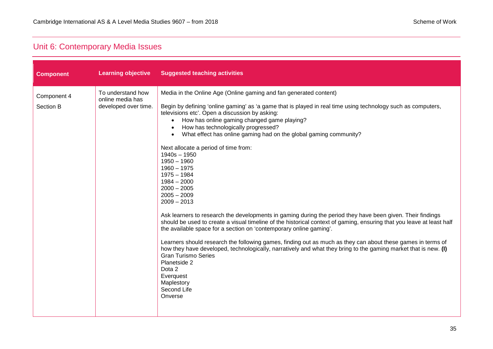### <span id="page-34-0"></span>Unit 6: Contemporary Media Issues

| <b>Component</b>         | <b>Learning objective</b>                                     | <b>Suggested teaching activities</b>                                                                                                                                                                                                                                                                                                                                                                                                                                                                                                                                                                                                                                                                                                                                                                                                                                                                                                                                                                                                                                                                                                                                                                                                                                               |
|--------------------------|---------------------------------------------------------------|------------------------------------------------------------------------------------------------------------------------------------------------------------------------------------------------------------------------------------------------------------------------------------------------------------------------------------------------------------------------------------------------------------------------------------------------------------------------------------------------------------------------------------------------------------------------------------------------------------------------------------------------------------------------------------------------------------------------------------------------------------------------------------------------------------------------------------------------------------------------------------------------------------------------------------------------------------------------------------------------------------------------------------------------------------------------------------------------------------------------------------------------------------------------------------------------------------------------------------------------------------------------------------|
| Component 4<br>Section B | To understand how<br>online media has<br>developed over time. | Media in the Online Age (Online gaming and fan generated content)<br>Begin by defining 'online gaming' as 'a game that is played in real time using technology such as computers,<br>televisions etc'. Open a discussion by asking:<br>How has online gaming changed game playing?<br>$\bullet$<br>How has technologically progressed?<br>$\bullet$<br>What effect has online gaming had on the global gaming community?<br>$\bullet$<br>Next allocate a period of time from:<br>$1940s - 1950$<br>$1950 - 1960$<br>$1960 - 1975$<br>$1975 - 1984$<br>$1984 - 2000$<br>$2000 - 2005$<br>$2005 - 2009$<br>$2009 - 2013$<br>Ask learners to research the developments in gaming during the period they have been given. Their findings<br>should be used to create a visual timeline of the historical context of gaming, ensuring that you leave at least half<br>the available space for a section on 'contemporary online gaming'.<br>Learners should research the following games, finding out as much as they can about these games in terms of<br>how they have developed, technologically, narratively and what they bring to the gaming market that is new. (I)<br><b>Gran Turismo Series</b><br>Planetside 2<br>Dota 2<br>Everquest<br>Maplestory<br>Second Life<br>Onverse |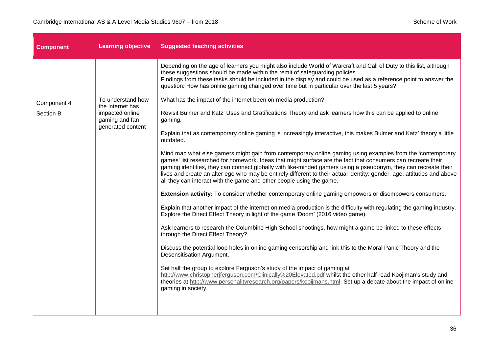a sa kacamatan ing Kabupatèn Kabupatèn Ing

| <b>Component</b>         | <b>Learning objective</b>                                                                       | <b>Suggested teaching activities</b>                                                                                                                                                                                                                                                                                                                                                                                                                                                                                                            |
|--------------------------|-------------------------------------------------------------------------------------------------|-------------------------------------------------------------------------------------------------------------------------------------------------------------------------------------------------------------------------------------------------------------------------------------------------------------------------------------------------------------------------------------------------------------------------------------------------------------------------------------------------------------------------------------------------|
|                          |                                                                                                 | Depending on the age of learners you might also include World of Warcraft and Call of Duty to this list, although<br>these suggestions should be made within the remit of safeguarding policies.<br>Findings from these tasks should be included in the display and could be used as a reference point to answer the<br>question: How has online gaming changed over time but in particular over the last 5 years?                                                                                                                              |
| Component 4<br>Section B | To understand how<br>the internet has<br>impacted online<br>gaming and fan<br>generated content | What has the impact of the internet been on media production?<br>Revisit Bulmer and Katz' Uses and Gratifications Theory and ask learners how this can be applied to online<br>gaming.                                                                                                                                                                                                                                                                                                                                                          |
|                          |                                                                                                 | Explain that as contemporary online gaming is increasingly interactive, this makes Bulmer and Katz' theory a little<br>outdated.                                                                                                                                                                                                                                                                                                                                                                                                                |
|                          |                                                                                                 | Mind map what else gamers might gain from contemporary online gaming using examples from the 'contemporary<br>games' list researched for homework. Ideas that might surface are the fact that consumers can recreate their<br>gaming identities, they can connect globally with like-minded gamers using a pseudonym, they can recreate their<br>lives and create an alter ego who may be entirely different to their actual identity: gender, age, attitudes and above<br>all they can interact with the game and other people using the game. |
|                          |                                                                                                 | Extension activity: To consider whether contemporary online gaming empowers or disempowers consumers.                                                                                                                                                                                                                                                                                                                                                                                                                                           |
|                          |                                                                                                 | Explain that another impact of the internet on media production is the difficulty with regulating the gaming industry.<br>Explore the Direct Effect Theory in light of the game 'Doom' (2016 video game).                                                                                                                                                                                                                                                                                                                                       |
|                          |                                                                                                 | Ask learners to research the Columbine High School shootings, how might a game be linked to these effects<br>through the Direct Effect Theory?                                                                                                                                                                                                                                                                                                                                                                                                  |
|                          |                                                                                                 | Discuss the potential loop holes in online gaming censorship and link this to the Moral Panic Theory and the<br>Desensitisation Argument.                                                                                                                                                                                                                                                                                                                                                                                                       |
|                          |                                                                                                 | Set half the group to explore Ferguson's study of the impact of gaming at<br>http://www.christopherjferguson.com/Clinically%20Elevated.pdf whilst the other half read Koojiman's study and<br>theories at http://www.personalityresearch.org/papers/kooijmans.html. Set up a debate about the impact of online<br>gaming in society.                                                                                                                                                                                                            |
|                          |                                                                                                 |                                                                                                                                                                                                                                                                                                                                                                                                                                                                                                                                                 |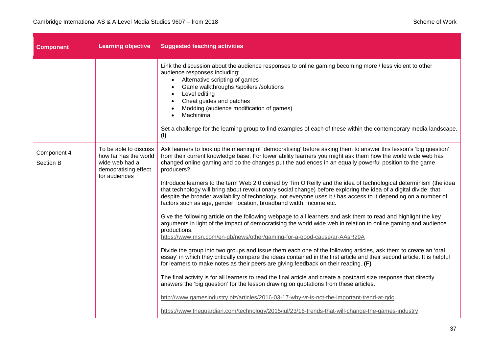| <b>Component</b>         | <b>Learning objective</b>                                                                                 | <b>Suggested teaching activities</b>                                                                                                                                                                                                                                                                                                                                                                                                                                                                                                                                                                                                                                                                                                                                                                                                                                                                                                                                                                                                                                                                                                                                                                                                                                                                                                                                                                                                                                                                                                                                                                                                                                                                                                                                         |
|--------------------------|-----------------------------------------------------------------------------------------------------------|------------------------------------------------------------------------------------------------------------------------------------------------------------------------------------------------------------------------------------------------------------------------------------------------------------------------------------------------------------------------------------------------------------------------------------------------------------------------------------------------------------------------------------------------------------------------------------------------------------------------------------------------------------------------------------------------------------------------------------------------------------------------------------------------------------------------------------------------------------------------------------------------------------------------------------------------------------------------------------------------------------------------------------------------------------------------------------------------------------------------------------------------------------------------------------------------------------------------------------------------------------------------------------------------------------------------------------------------------------------------------------------------------------------------------------------------------------------------------------------------------------------------------------------------------------------------------------------------------------------------------------------------------------------------------------------------------------------------------------------------------------------------------|
|                          |                                                                                                           | Link the discussion about the audience responses to online gaming becoming more / less violent to other<br>audience responses including:<br>Alternative scripting of games<br>$\bullet$<br>Game walkthroughs /spoilers /solutions<br>$\bullet$<br>Level editing<br>$\bullet$<br>Cheat guides and patches<br>Modding (audience modification of games)<br>Machinima<br>Set a challenge for the learning group to find examples of each of these within the contemporary media landscape.<br>(1)                                                                                                                                                                                                                                                                                                                                                                                                                                                                                                                                                                                                                                                                                                                                                                                                                                                                                                                                                                                                                                                                                                                                                                                                                                                                                |
| Component 4<br>Section B | To be able to discuss<br>how far has the world<br>wide web had a<br>democratising effect<br>for audiences | Ask learners to look up the meaning of 'democratising' before asking them to answer this lesson's 'big question'<br>from their current knowledge base. For lower ability learners you might ask them how the world wide web has<br>changed online gaming and do the changes put the audiences in an equally powerful position to the game<br>producers?<br>Introduce learners to the term Web 2.0 coined by Tim O'Reilly and the idea of technological determinism (the idea<br>that technology will bring about revolutionary social change) before exploring the idea of a digital divide: that<br>despite the broader availability of technology, not everyone uses it / has access to it depending on a number of<br>factors such as age, gender, location, broadband width, income etc.<br>Give the following article on the following webpage to all learners and ask them to read and highlight the key<br>arguments in light of the impact of democratising the world wide web in relation to online gaming and audience<br>productions.<br>https://www.msn.com/en-gb/news/other/gaming-for-a-good-cause/ar-AAsRz9A<br>Divide the group into two groups and issue them each one of the following articles, ask them to create an 'oral<br>essay' in which they critically compare the ideas contained in the first article and their second article. It is helpful<br>for learners to make notes as their peers are giving feedback on their reading. (F)<br>The final activity is for all learners to read the final article and create a postcard size response that directly<br>answers the 'big question' for the lesson drawing on quotations from these articles.<br>http://www.gamesindustry.biz/articles/2016-03-17-why-vr-is-not-the-important-trend-at-gdc |
|                          |                                                                                                           | https://www.theguardian.com/technology/2015/jul/23/16-trends-that-will-change-the-games-industry                                                                                                                                                                                                                                                                                                                                                                                                                                                                                                                                                                                                                                                                                                                                                                                                                                                                                                                                                                                                                                                                                                                                                                                                                                                                                                                                                                                                                                                                                                                                                                                                                                                                             |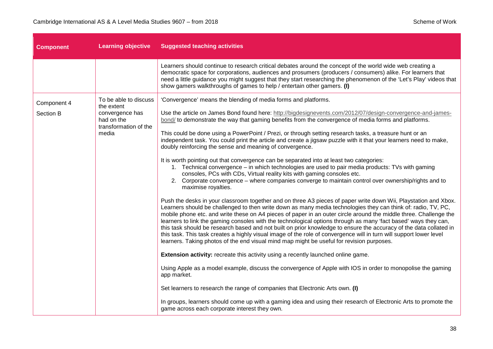| <b>Component</b>         | <b>Learning objective</b>                                                                              | <b>Suggested teaching activities</b>                                                                                                                                                                                                                                                                                                                                                                                                                                                                                                                                                                                                                                                                                                                                                                               |  |
|--------------------------|--------------------------------------------------------------------------------------------------------|--------------------------------------------------------------------------------------------------------------------------------------------------------------------------------------------------------------------------------------------------------------------------------------------------------------------------------------------------------------------------------------------------------------------------------------------------------------------------------------------------------------------------------------------------------------------------------------------------------------------------------------------------------------------------------------------------------------------------------------------------------------------------------------------------------------------|--|
|                          |                                                                                                        | Learners should continue to research critical debates around the concept of the world wide web creating a<br>democratic space for corporations, audiences and prosumers (producers / consumers) alike. For learners that<br>need a little guidance you might suggest that they start researching the phenomenon of the 'Let's Play' videos that<br>show gamers walkthroughs of games to help / entertain other gamers. (I)                                                                                                                                                                                                                                                                                                                                                                                         |  |
| Component 4<br>Section B | To be able to discuss<br>the extent<br>convergence has<br>had on the<br>transformation of the<br>media | 'Convergence' means the blending of media forms and platforms.<br>Use the article on James Bond found here: http://bigdesignevents.com/2012/07/design-convergence-and-james-<br>bond/ to demonstrate the way that gaming benefits from the convergence of media forms and platforms.<br>This could be done using a PowerPoint / Prezi, or through setting research tasks, a treasure hunt or an                                                                                                                                                                                                                                                                                                                                                                                                                    |  |
|                          |                                                                                                        | independent task. You could print the article and create a jigsaw puzzle with it that your learners need to make,<br>doubly reinforcing the sense and meaning of convergence.<br>It is worth pointing out that convergence can be separated into at least two categories:<br>1. Technical convergence – in which technologies are used to pair media products: TVs with gaming<br>consoles, PCs with CDs, Virtual reality kits with gaming consoles etc.<br>2. Corporate convergence – where companies converge to maintain control over ownership/rights and to<br>maximise royalties.                                                                                                                                                                                                                            |  |
|                          |                                                                                                        | Push the desks in your classroom together and on three A3 pieces of paper write down Wii, Playstation and Xbox.<br>Learners should be challenged to then write down as many media technologies they can think of: radio, TV, PC,<br>mobile phone etc. and write these on A4 pieces of paper in an outer circle around the middle three. Challenge the<br>learners to link the gaming consoles with the technological options through as many 'fact based' ways they can,<br>this task should be research based and not built on prior knowledge to ensure the accuracy of the data collated in<br>this task. This task creates a highly visual image of the role of convergence will in turn will support lower level<br>learners. Taking photos of the end visual mind map might be useful for revision purposes. |  |
|                          |                                                                                                        | <b>Extension activity:</b> recreate this activity using a recently launched online game.                                                                                                                                                                                                                                                                                                                                                                                                                                                                                                                                                                                                                                                                                                                           |  |
|                          |                                                                                                        | Using Apple as a model example, discuss the convergence of Apple with IOS in order to monopolise the gaming<br>app market.                                                                                                                                                                                                                                                                                                                                                                                                                                                                                                                                                                                                                                                                                         |  |
|                          |                                                                                                        | Set learners to research the range of companies that Electronic Arts own. (I)                                                                                                                                                                                                                                                                                                                                                                                                                                                                                                                                                                                                                                                                                                                                      |  |
|                          |                                                                                                        | In groups, learners should come up with a gaming idea and using their research of Electronic Arts to promote the<br>game across each corporate interest they own.                                                                                                                                                                                                                                                                                                                                                                                                                                                                                                                                                                                                                                                  |  |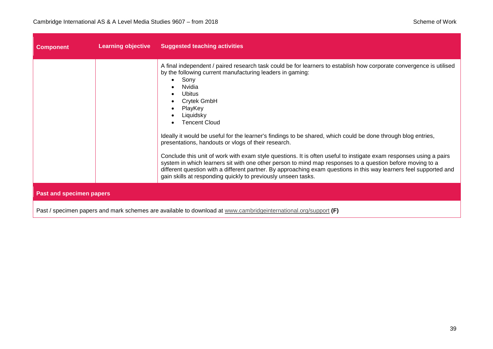| <b>Component</b>                                                                                                | <b>Learning objective</b> | <b>Suggested teaching activities</b>                                                                                                                                                                                                                                                                                                                                                                                                                                                                                                                                                                                                                                                                                                                                                                                                                                          |
|-----------------------------------------------------------------------------------------------------------------|---------------------------|-------------------------------------------------------------------------------------------------------------------------------------------------------------------------------------------------------------------------------------------------------------------------------------------------------------------------------------------------------------------------------------------------------------------------------------------------------------------------------------------------------------------------------------------------------------------------------------------------------------------------------------------------------------------------------------------------------------------------------------------------------------------------------------------------------------------------------------------------------------------------------|
|                                                                                                                 |                           | A final independent / paired research task could be for learners to establish how corporate convergence is utilised<br>by the following current manufacturing leaders in gaming:<br>Sony<br>Nvidia<br>Ubitus<br>Crytek GmbH<br>PlayKey<br>Liquidsky<br><b>Tencent Cloud</b><br>Ideally it would be useful for the learner's findings to be shared, which could be done through blog entries,<br>presentations, handouts or vlogs of their research.<br>Conclude this unit of work with exam style questions. It is often useful to instigate exam responses using a pairs<br>system in which learners sit with one other person to mind map responses to a question before moving to a<br>different question with a different partner. By approaching exam questions in this way learners feel supported and<br>gain skills at responding quickly to previously unseen tasks. |
| <b>Past and specimen papers</b>                                                                                 |                           |                                                                                                                                                                                                                                                                                                                                                                                                                                                                                                                                                                                                                                                                                                                                                                                                                                                                               |
| Past / specimen papers and mark schemes are available to download at www.cambridgeinternational.org/support (F) |                           |                                                                                                                                                                                                                                                                                                                                                                                                                                                                                                                                                                                                                                                                                                                                                                                                                                                                               |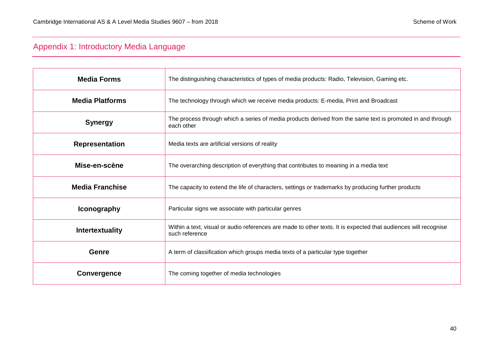### <span id="page-39-0"></span>Appendix 1: Introductory Media Language

| <b>Media Forms</b>     | The distinguishing characteristics of types of media products: Radio, Television, Gaming etc.                                     |  |
|------------------------|-----------------------------------------------------------------------------------------------------------------------------------|--|
| <b>Media Platforms</b> | The technology through which we receive media products: E-media, Print and Broadcast                                              |  |
| <b>Synergy</b>         | The process through which a series of media products derived from the same text is promoted in and through<br>each other          |  |
| <b>Representation</b>  | Media texts are artificial versions of reality                                                                                    |  |
| Mise-en-scène          | The overarching description of everything that contributes to meaning in a media text                                             |  |
| <b>Media Franchise</b> | The capacity to extend the life of characters, settings or trademarks by producing further products                               |  |
| <b>Iconography</b>     | Particular signs we associate with particular genres                                                                              |  |
| <b>Intertextuality</b> | Within a text, visual or audio references are made to other texts. It is expected that audiences will recognise<br>such reference |  |
| Genre                  | A term of classification which groups media texts of a particular type together                                                   |  |
| Convergence            | The coming together of media technologies                                                                                         |  |
|                        |                                                                                                                                   |  |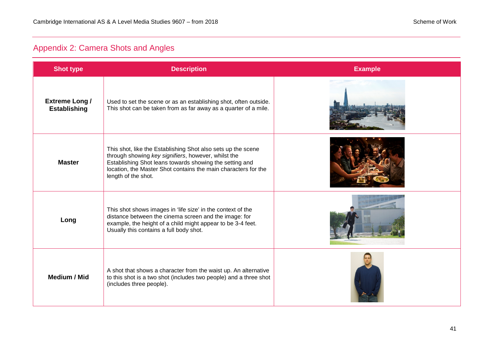### <span id="page-40-0"></span>Appendix 2: Camera Shots and Angles

| <b>Shot type</b>                             | <b>Description</b>                                                                                                                                                                                                                                                      | <b>Example</b> |
|----------------------------------------------|-------------------------------------------------------------------------------------------------------------------------------------------------------------------------------------------------------------------------------------------------------------------------|----------------|
| <b>Extreme Long /</b><br><b>Establishing</b> | Used to set the scene or as an establishing shot, often outside.<br>This shot can be taken from as far away as a quarter of a mile.                                                                                                                                     |                |
| <b>Master</b>                                | This shot, like the Establishing Shot also sets up the scene<br>through showing key signifiers, however, whilst the<br>Establishing Shot leans towards showing the setting and<br>location, the Master Shot contains the main characters for the<br>length of the shot. |                |
| Long                                         | This shot shows images in 'life size' in the context of the<br>distance between the cinema screen and the image: for<br>example, the height of a child might appear to be 3-4 feet.<br>Usually this contains a full body shot.                                          |                |
| <b>Medium / Mid</b>                          | A shot that shows a character from the waist up. An alternative<br>to this shot is a two shot (includes two people) and a three shot<br>(includes three people).                                                                                                        |                |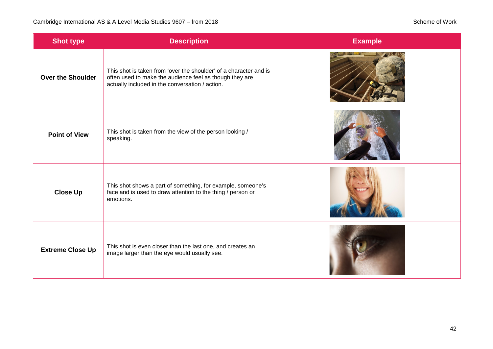| <b>Shot type</b>         | <b>Description</b>                                                                                                                                                              | <b>Example</b> |
|--------------------------|---------------------------------------------------------------------------------------------------------------------------------------------------------------------------------|----------------|
| <b>Over the Shoulder</b> | This shot is taken from 'over the shoulder' of a character and is<br>often used to make the audience feel as though they are<br>actually included in the conversation / action. |                |
| <b>Point of View</b>     | This shot is taken from the view of the person looking /<br>speaking.                                                                                                           |                |
| <b>Close Up</b>          | This shot shows a part of something, for example, someone's<br>face and is used to draw attention to the thing / person or<br>emotions.                                         |                |
| <b>Extreme Close Up</b>  | This shot is even closer than the last one, and creates an<br>image larger than the eye would usually see.                                                                      |                |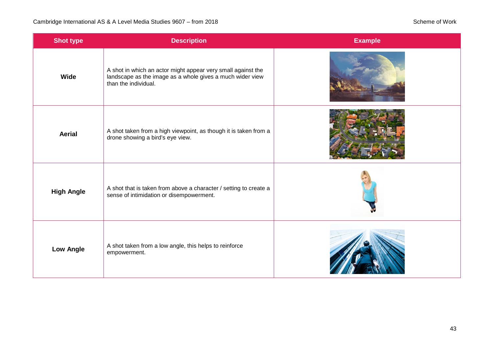| <b>Shot type</b>  | <b>Description</b>                                                                                                                                | <b>Example</b> |
|-------------------|---------------------------------------------------------------------------------------------------------------------------------------------------|----------------|
| Wide              | A shot in which an actor might appear very small against the<br>landscape as the image as a whole gives a much wider view<br>than the individual. |                |
| <b>Aerial</b>     | A shot taken from a high viewpoint, as though it is taken from a<br>drone showing a bird's eye view.                                              |                |
| <b>High Angle</b> | A shot that is taken from above a character / setting to create a<br>sense of intimidation or disempowerment.                                     |                |
| <b>Low Angle</b>  | A shot taken from a low angle, this helps to reinforce<br>empowerment.                                                                            |                |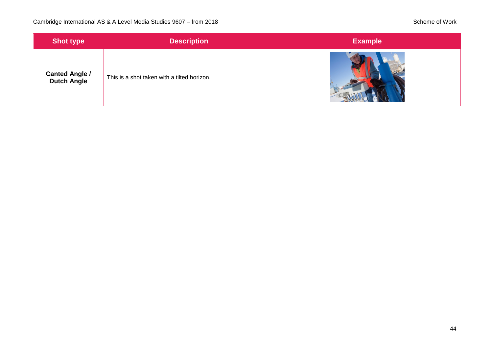| <b>Shot type</b>                            | <b>Description</b>                          | <b>Example</b> |
|---------------------------------------------|---------------------------------------------|----------------|
| <b>Canted Angle /</b><br><b>Dutch Angle</b> | This is a shot taken with a tilted horizon. |                |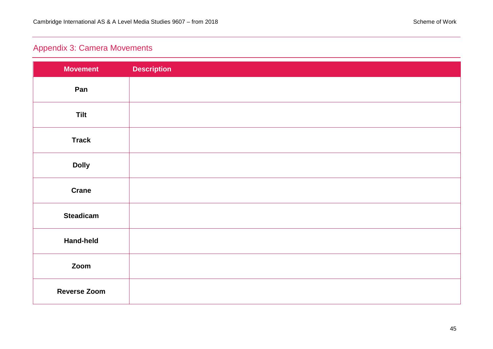### <span id="page-44-0"></span>Appendix 3: Camera Movements

| <b>Movement</b>     | <b>Description</b> |
|---------------------|--------------------|
| Pan                 |                    |
| <b>Tilt</b>         |                    |
| <b>Track</b>        |                    |
| <b>Dolly</b>        |                    |
| <b>Crane</b>        |                    |
| <b>Steadicam</b>    |                    |
| <b>Hand-held</b>    |                    |
| Zoom                |                    |
| <b>Reverse Zoom</b> |                    |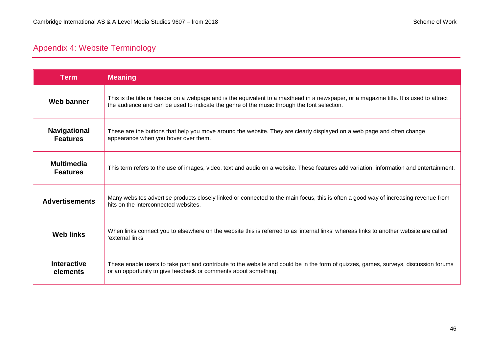### <span id="page-45-0"></span>Appendix 4: Website Terminology

| <b>Term</b>                            | <b>Meaning</b>                                                                                                                                                                                                                         |
|----------------------------------------|----------------------------------------------------------------------------------------------------------------------------------------------------------------------------------------------------------------------------------------|
| <b>Web banner</b>                      | This is the title or header on a webpage and is the equivalent to a masthead in a newspaper, or a magazine title. It is used to attract<br>the audience and can be used to indicate the genre of the music through the font selection. |
| <b>Navigational</b><br><b>Features</b> | These are the buttons that help you move around the website. They are clearly displayed on a web page and often change<br>appearance when you hover over them.                                                                         |
| <b>Multimedia</b><br><b>Features</b>   | This term refers to the use of images, video, text and audio on a website. These features add variation, information and entertainment.                                                                                                |
| <b>Advertisements</b>                  | Many websites advertise products closely linked or connected to the main focus, this is often a good way of increasing revenue from<br>hits on the interconnected websites.                                                            |
| <b>Web links</b>                       | When links connect you to elsewhere on the website this is referred to as 'internal links' whereas links to another website are called<br>'external links                                                                              |
| <b>Interactive</b><br>elements         | These enable users to take part and contribute to the website and could be in the form of quizzes, games, surveys, discussion forums<br>or an opportunity to give feedback or comments about something.                                |